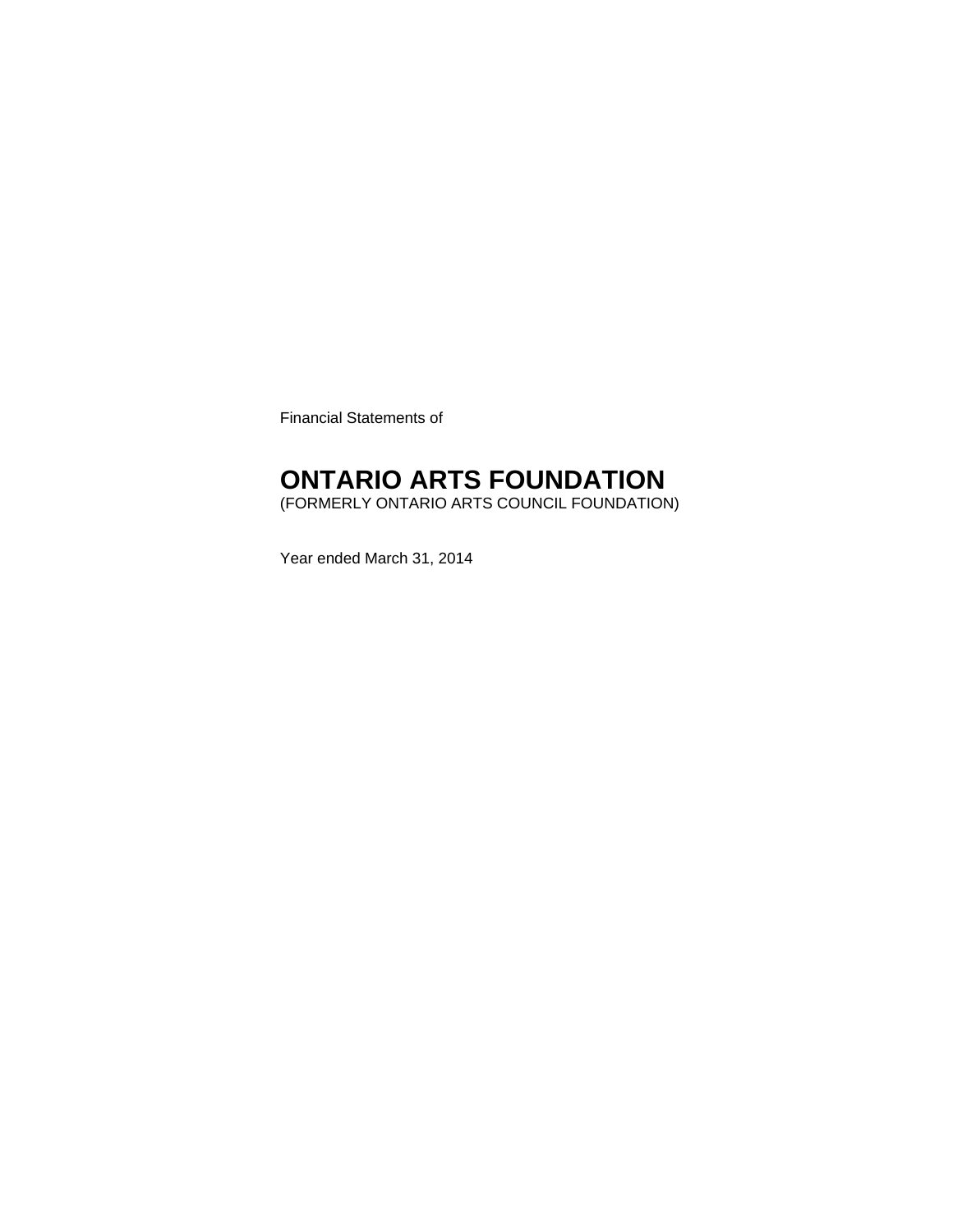Financial Statements of

### **ONTARIO ARTS FOUNDATION**

(FORMERLY ONTARIO ARTS COUNCIL FOUNDATION)

Year ended March 31, 2014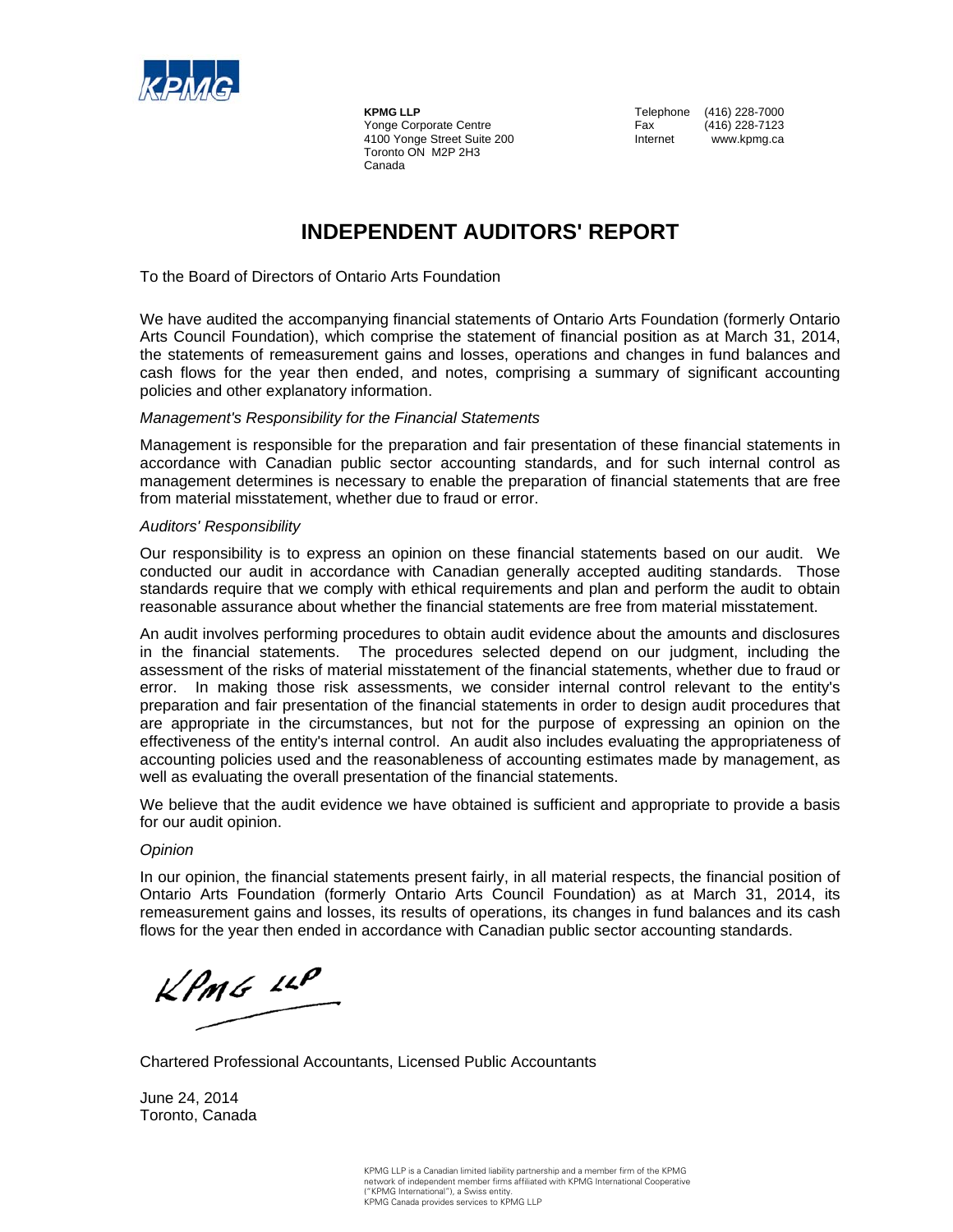

**KPMG LLP**<br>
Yonge Corporate Centre<br>
Yonge Corporate Centre<br>
Tax (416) 228-7123 Yonge Corporate Centre Fax 4100 Yonge Street Suite 200 **Internet** www.kpmg.ca Toronto ON M2P 2H3 Canada

### **INDEPENDENT AUDITORS' REPORT**

To the Board of Directors of Ontario Arts Foundation

We have audited the accompanying financial statements of Ontario Arts Foundation (formerly Ontario Arts Council Foundation), which comprise the statement of financial position as at March 31, 2014, the statements of remeasurement gains and losses, operations and changes in fund balances and cash flows for the year then ended, and notes, comprising a summary of significant accounting policies and other explanatory information.

#### *Management's Responsibility for the Financial Statements*

Management is responsible for the preparation and fair presentation of these financial statements in accordance with Canadian public sector accounting standards, and for such internal control as management determines is necessary to enable the preparation of financial statements that are free from material misstatement, whether due to fraud or error.

#### *Auditors' Responsibility*

Our responsibility is to express an opinion on these financial statements based on our audit. We conducted our audit in accordance with Canadian generally accepted auditing standards. Those standards require that we comply with ethical requirements and plan and perform the audit to obtain reasonable assurance about whether the financial statements are free from material misstatement.

An audit involves performing procedures to obtain audit evidence about the amounts and disclosures in the financial statements. The procedures selected depend on our judgment, including the assessment of the risks of material misstatement of the financial statements, whether due to fraud or error. In making those risk assessments, we consider internal control relevant to the entity's preparation and fair presentation of the financial statements in order to design audit procedures that are appropriate in the circumstances, but not for the purpose of expressing an opinion on the effectiveness of the entity's internal control. An audit also includes evaluating the appropriateness of accounting policies used and the reasonableness of accounting estimates made by management, as well as evaluating the overall presentation of the financial statements.

We believe that the audit evidence we have obtained is sufficient and appropriate to provide a basis for our audit opinion.

#### *Opinion*

In our opinion, the financial statements present fairly, in all material respects, the financial position of Ontario Arts Foundation (formerly Ontario Arts Council Foundation) as at March 31, 2014, its remeasurement gains and losses, its results of operations, its changes in fund balances and its cash flows for the year then ended in accordance with Canadian public sector accounting standards.

 $k$ *PMG 14* $^{\rho}$ 

Chartered Professional Accountants, Licensed Public Accountants

June 24, 2014 Toronto, Canada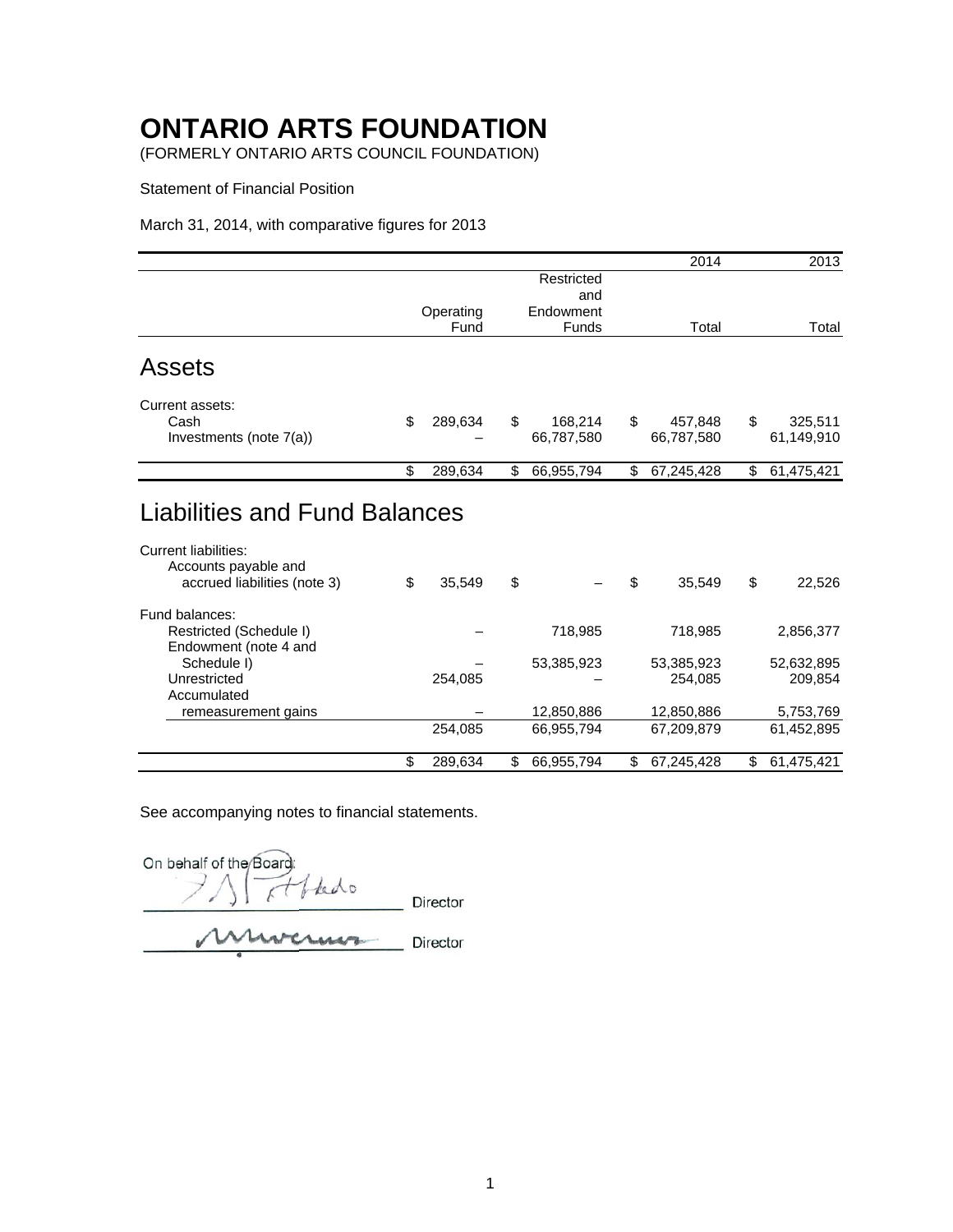(FORMERLY ONTARIO ARTS COUNCIL FOUNDATION)

Statement of Financial Position

March 31, 2014, with comparative figures for 2013

|                                                     |               |                  | 2014             | 2013             |
|-----------------------------------------------------|---------------|------------------|------------------|------------------|
|                                                     |               | Restricted       |                  |                  |
|                                                     |               | and              |                  |                  |
|                                                     | Operating     | Endowment        |                  |                  |
|                                                     | Fund          | Funds            | Total            | Total            |
| <b>Assets</b>                                       |               |                  |                  |                  |
| Current assets:                                     |               |                  |                  |                  |
| Cash                                                | \$<br>289,634 | \$<br>168,214    | \$<br>457,848    | \$<br>325,511    |
| Investments (note 7(a))                             |               | 66,787,580       | 66,787,580       | 61,149,910       |
|                                                     | \$<br>289,634 | \$<br>66,955,794 | \$<br>67,245,428 | \$<br>61,475,421 |
| <b>Current liabilities:</b><br>Accounts payable and |               |                  |                  |                  |
| accrued liabilities (note 3)                        | \$<br>35,549  | \$               | \$<br>35,549     | \$<br>22,526     |
| Fund balances:                                      |               |                  |                  |                  |
| Restricted (Schedule I)                             |               | 718,985          | 718,985          | 2,856,377        |
| Endowment (note 4 and                               |               |                  |                  |                  |
| Schedule I)                                         |               | 53,385,923       | 53,385,923       | 52,632,895       |
| Unrestricted                                        | 254,085       |                  | 254,085          | 209,854          |
| Accumulated                                         |               |                  |                  |                  |
| remeasurement gains                                 |               | 12,850,886       | 12,850,886       | 5,753,769        |
|                                                     | 254,085       | 66,955,794       | 67,209,879       | 61,452,895       |
|                                                     | \$<br>289,634 | \$<br>66,955,794 | \$<br>67,245,428 | \$<br>61,475,421 |

On behalf of the Board thedo κt Director Murcruns Director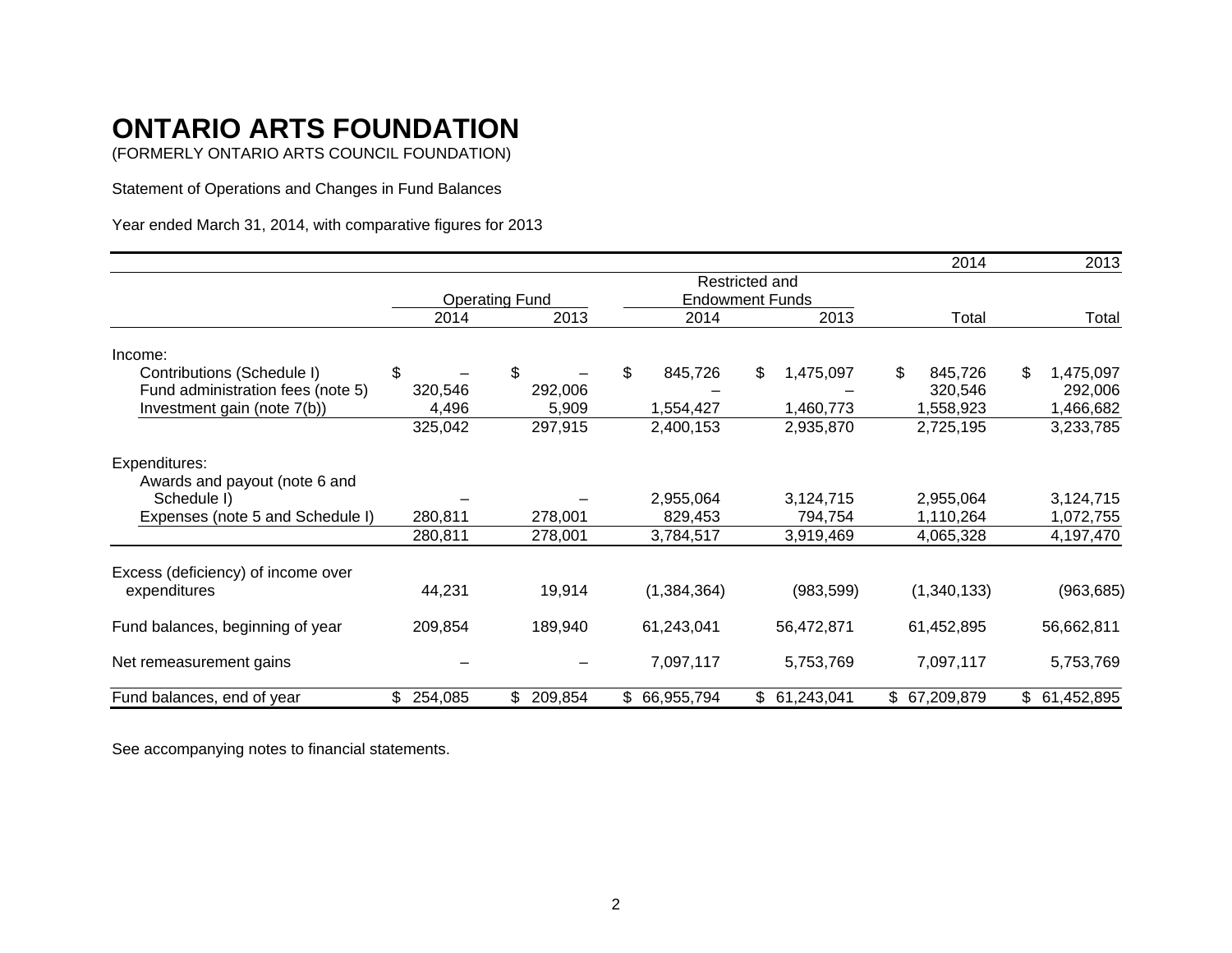(FORMERLY ONTARIO ARTS COUNCIL FOUNDATION)

Statement of Operations and Changes in Fund Balances

Year ended March 31, 2014, with comparative figures for 2013

|                                    |           |                       |               |                        | 2014          | 2013            |
|------------------------------------|-----------|-----------------------|---------------|------------------------|---------------|-----------------|
|                                    |           |                       |               | Restricted and         |               |                 |
|                                    |           | <b>Operating Fund</b> |               | <b>Endowment Funds</b> |               |                 |
|                                    | 2014      | 2013                  | 2014          | 2013                   | Total         | Total           |
| Income:                            |           |                       |               |                        |               |                 |
| Contributions (Schedule I)         | \$        | \$                    | \$<br>845,726 | \$<br>1,475,097        | \$<br>845,726 | \$<br>1,475,097 |
| Fund administration fees (note 5)  | 320,546   | 292,006               |               |                        | 320,546       | 292,006         |
| Investment gain (note 7(b))        | 4,496     | 5,909                 | 1,554,427     | 1,460,773              | 1,558,923     | 1,466,682       |
|                                    | 325,042   | 297,915               | 2,400,153     | 2,935,870              | 2,725,195     | 3,233,785       |
| Expenditures:                      |           |                       |               |                        |               |                 |
| Awards and payout (note 6 and      |           |                       |               |                        |               |                 |
| Schedule I)                        |           |                       | 2,955,064     | 3,124,715              | 2,955,064     | 3,124,715       |
| Expenses (note 5 and Schedule I)   | 280,811   | 278,001               | 829,453       | 794,754                | 1,110,264     | 1,072,755       |
|                                    | 280,811   | 278,001               | 3,784,517     | 3,919,469              | 4,065,328     | 4,197,470       |
| Excess (deficiency) of income over |           |                       |               |                        |               |                 |
| expenditures                       | 44,231    | 19,914                | (1, 384, 364) | (983, 599)             | (1,340,133)   | (963, 685)      |
| Fund balances, beginning of year   | 209,854   | 189,940               | 61,243,041    | 56,472,871             | 61,452,895    | 56,662,811      |
| Net remeasurement gains            |           |                       | 7,097,117     | 5,753,769              | 7,097,117     | 5,753,769       |
| Fund balances, end of year         | \$254,085 | 209,854<br>\$         | \$ 66,955,794 | \$61,243,041           | \$67,209,879  | \$61,452,895    |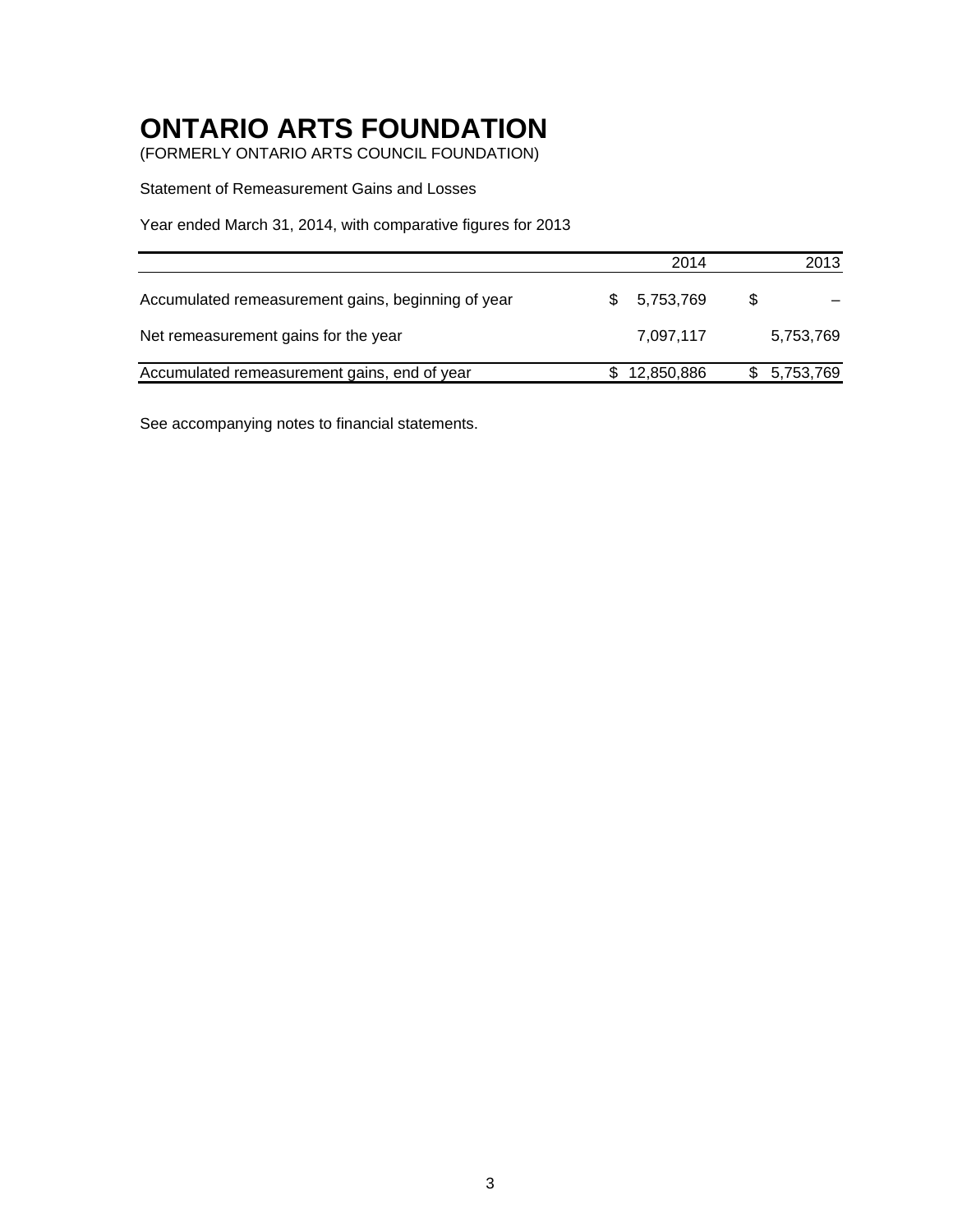(FORMERLY ONTARIO ARTS COUNCIL FOUNDATION)

Statement of Remeasurement Gains and Losses

Year ended March 31, 2014, with comparative figures for 2013

|                                                    | 2014            | 2013        |
|----------------------------------------------------|-----------------|-------------|
| Accumulated remeasurement gains, beginning of year | 5,753,769<br>S. | S           |
| Net remeasurement gains for the year               | 7,097,117       | 5,753,769   |
| Accumulated remeasurement gains, end of year       | 12,850,886      | \$5,753,769 |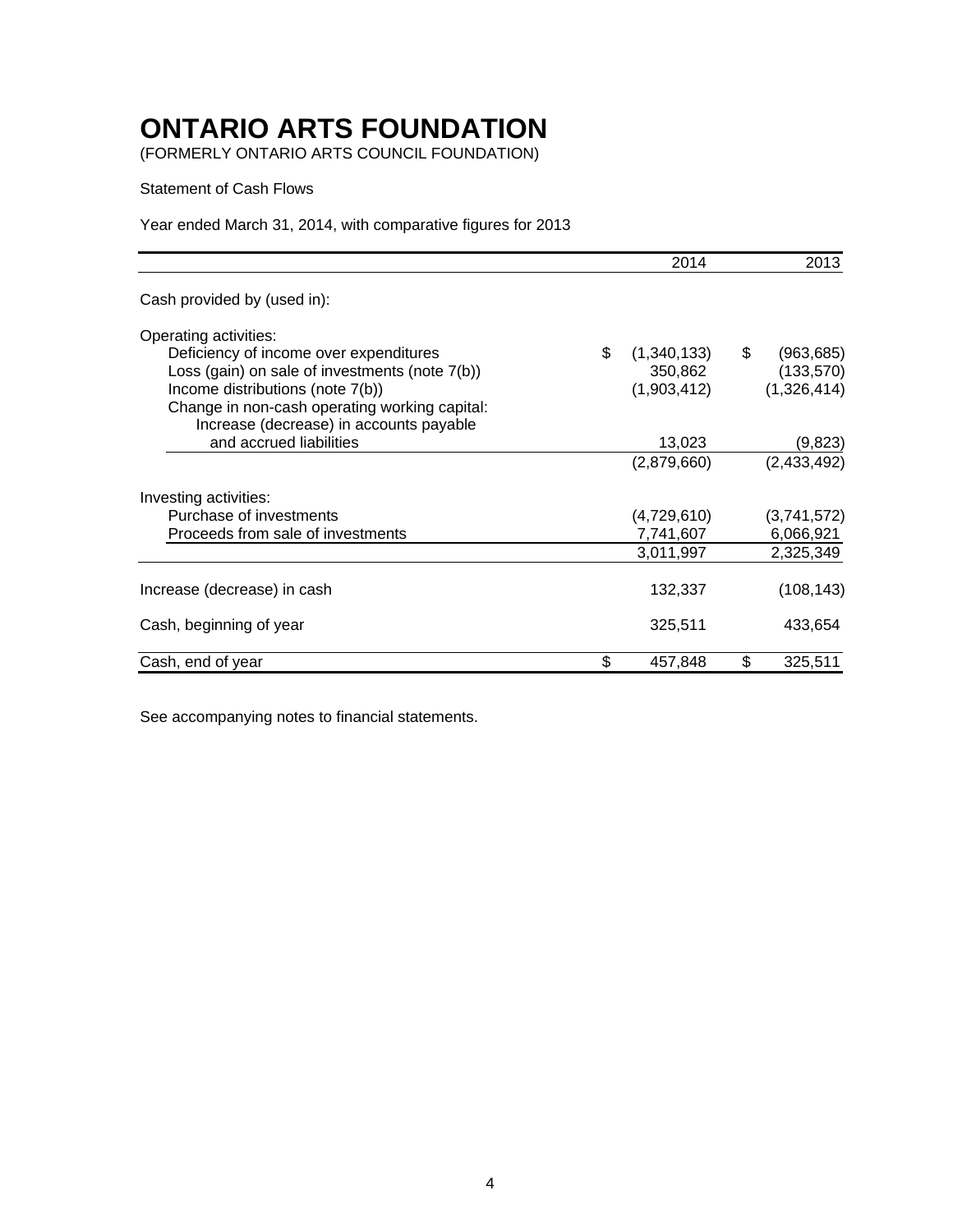(FORMERLY ONTARIO ARTS COUNCIL FOUNDATION)

Statement of Cash Flows

Year ended March 31, 2014, with comparative figures for 2013

|                                                | 2014              | 2013             |
|------------------------------------------------|-------------------|------------------|
| Cash provided by (used in):                    |                   |                  |
| Operating activities:                          |                   |                  |
| Deficiency of income over expenditures         | \$<br>(1,340,133) | \$<br>(963, 685) |
| Loss (gain) on sale of investments (note 7(b)) | 350,862           | (133, 570)       |
| Income distributions (note 7(b))               | (1,903,412)       | (1,326,414)      |
| Change in non-cash operating working capital:  |                   |                  |
| Increase (decrease) in accounts payable        |                   |                  |
| and accrued liabilities                        | 13,023            | (9,823)          |
|                                                | (2,879,660)       | (2,433,492)      |
| Investing activities:                          |                   |                  |
| Purchase of investments                        | (4,729,610)       | (3,741,572)      |
| Proceeds from sale of investments              | 7,741,607         | 6,066,921        |
|                                                | 3,011,997         | 2,325,349        |
| Increase (decrease) in cash                    | 132,337           | (108, 143)       |
| Cash, beginning of year                        | 325,511           | 433,654          |
| Cash, end of year                              | \$<br>457,848     | \$<br>325,511    |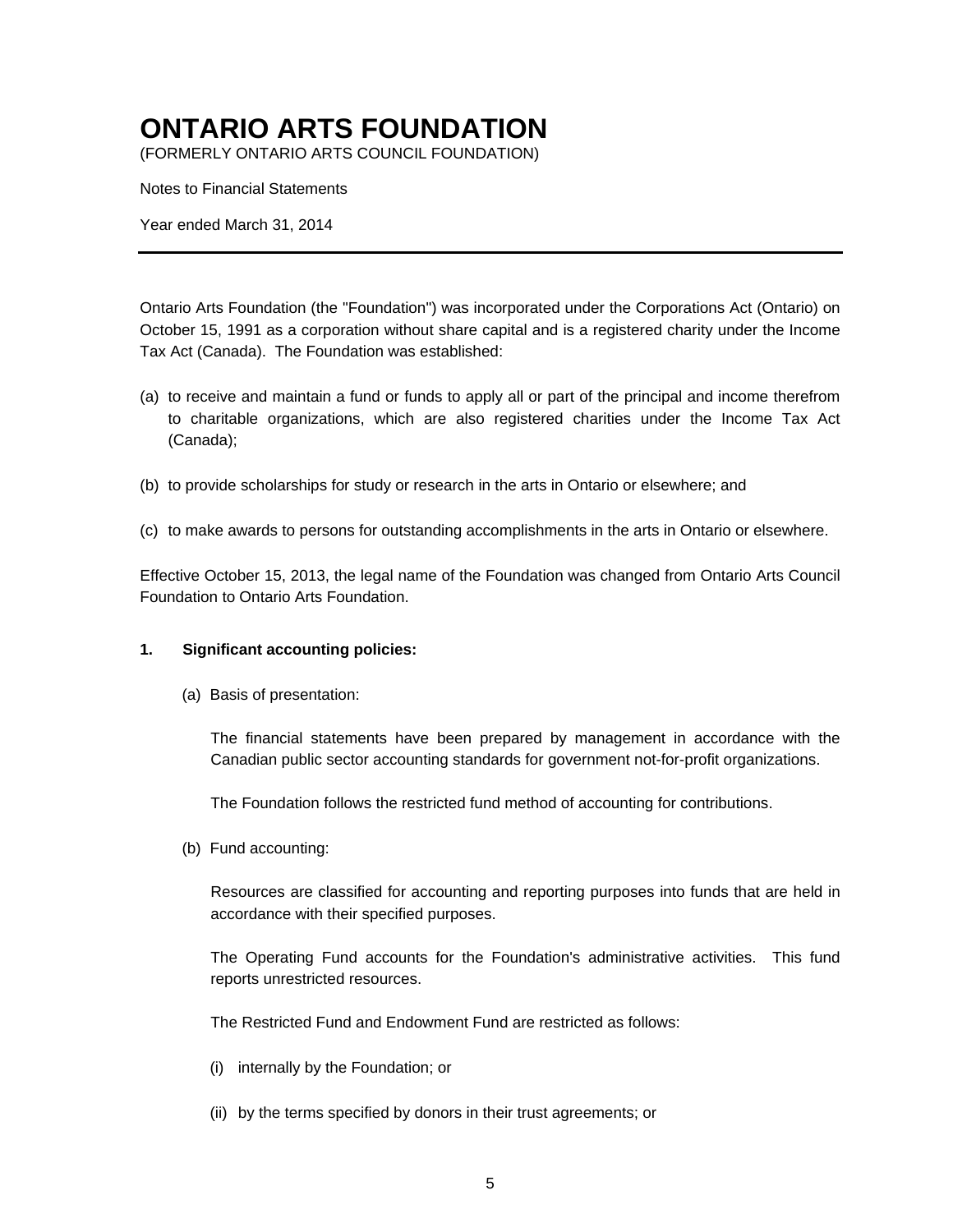(FORMERLY ONTARIO ARTS COUNCIL FOUNDATION)

Notes to Financial Statements

Year ended March 31, 2014

Ontario Arts Foundation (the "Foundation") was incorporated under the Corporations Act (Ontario) on October 15, 1991 as a corporation without share capital and is a registered charity under the Income Tax Act (Canada). The Foundation was established:

- (a) to receive and maintain a fund or funds to apply all or part of the principal and income therefrom to charitable organizations, which are also registered charities under the Income Tax Act (Canada);
- (b) to provide scholarships for study or research in the arts in Ontario or elsewhere; and
- (c) to make awards to persons for outstanding accomplishments in the arts in Ontario or elsewhere.

Effective October 15, 2013, the legal name of the Foundation was changed from Ontario Arts Council Foundation to Ontario Arts Foundation.

#### **1. Significant accounting policies:**

(a) Basis of presentation:

The financial statements have been prepared by management in accordance with the Canadian public sector accounting standards for government not-for-profit organizations.

The Foundation follows the restricted fund method of accounting for contributions.

(b) Fund accounting:

Resources are classified for accounting and reporting purposes into funds that are held in accordance with their specified purposes.

The Operating Fund accounts for the Foundation's administrative activities. This fund reports unrestricted resources.

The Restricted Fund and Endowment Fund are restricted as follows:

- (i) internally by the Foundation; or
- (ii) by the terms specified by donors in their trust agreements; or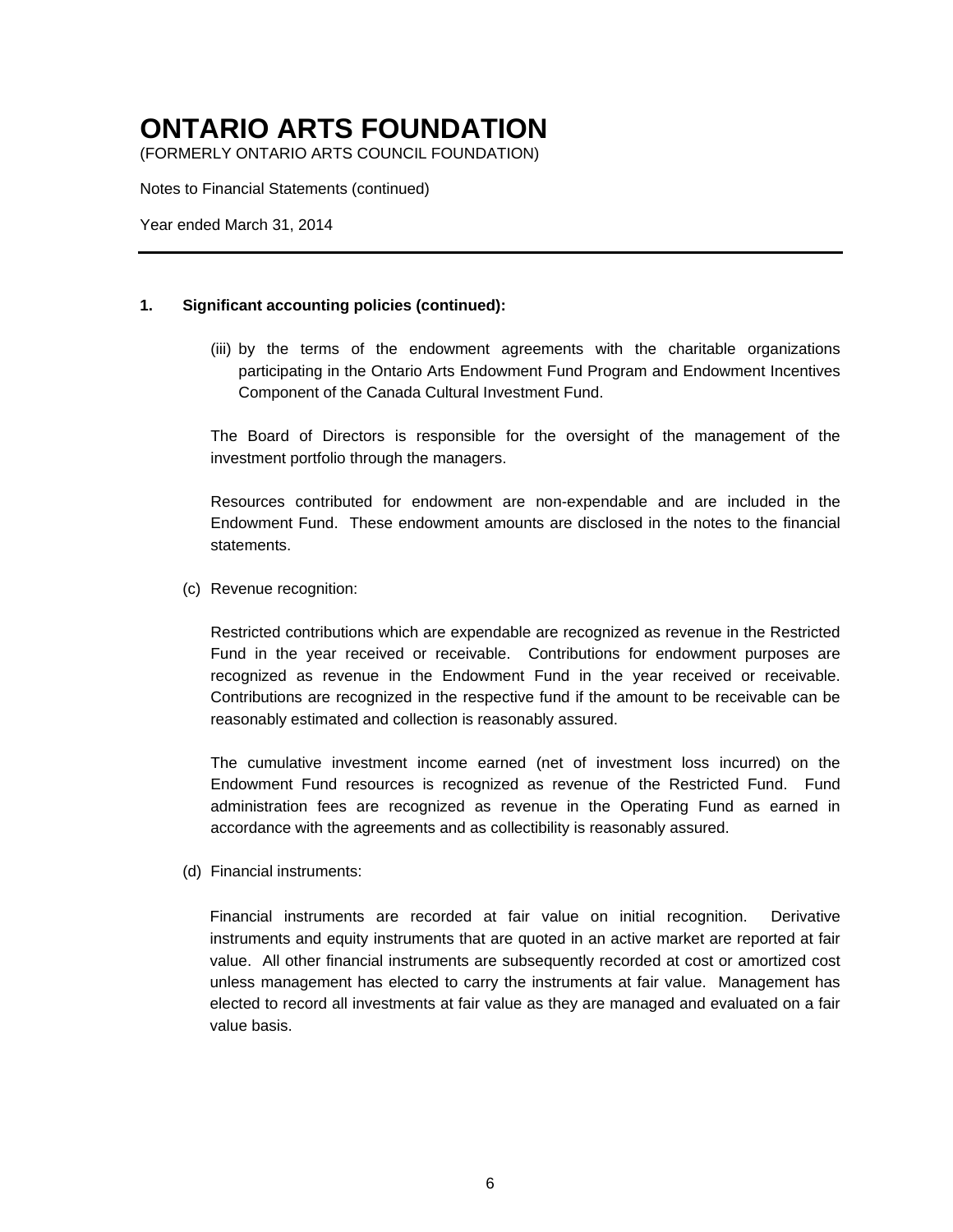(FORMERLY ONTARIO ARTS COUNCIL FOUNDATION)

Notes to Financial Statements (continued)

Year ended March 31, 2014

#### **1. Significant accounting policies (continued):**

(iii) by the terms of the endowment agreements with the charitable organizations participating in the Ontario Arts Endowment Fund Program and Endowment Incentives Component of the Canada Cultural Investment Fund.

The Board of Directors is responsible for the oversight of the management of the investment portfolio through the managers.

Resources contributed for endowment are non-expendable and are included in the Endowment Fund. These endowment amounts are disclosed in the notes to the financial statements.

(c) Revenue recognition:

Restricted contributions which are expendable are recognized as revenue in the Restricted Fund in the year received or receivable. Contributions for endowment purposes are recognized as revenue in the Endowment Fund in the year received or receivable. Contributions are recognized in the respective fund if the amount to be receivable can be reasonably estimated and collection is reasonably assured.

The cumulative investment income earned (net of investment loss incurred) on the Endowment Fund resources is recognized as revenue of the Restricted Fund. Fund administration fees are recognized as revenue in the Operating Fund as earned in accordance with the agreements and as collectibility is reasonably assured.

(d) Financial instruments:

Financial instruments are recorded at fair value on initial recognition. Derivative instruments and equity instruments that are quoted in an active market are reported at fair value. All other financial instruments are subsequently recorded at cost or amortized cost unless management has elected to carry the instruments at fair value. Management has elected to record all investments at fair value as they are managed and evaluated on a fair value basis.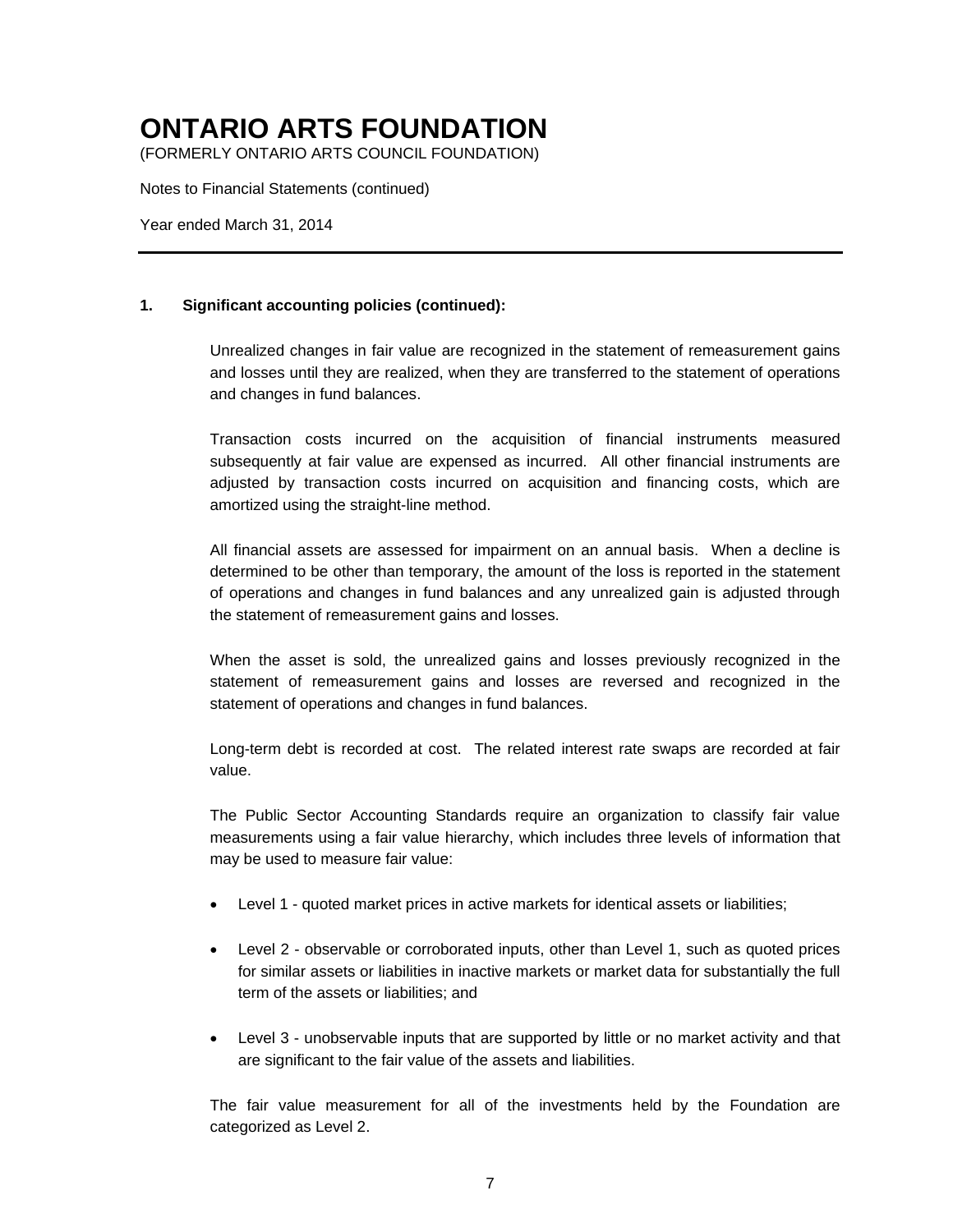(FORMERLY ONTARIO ARTS COUNCIL FOUNDATION)

Notes to Financial Statements (continued)

Year ended March 31, 2014

#### **1. Significant accounting policies (continued):**

Unrealized changes in fair value are recognized in the statement of remeasurement gains and losses until they are realized, when they are transferred to the statement of operations and changes in fund balances.

Transaction costs incurred on the acquisition of financial instruments measured subsequently at fair value are expensed as incurred. All other financial instruments are adjusted by transaction costs incurred on acquisition and financing costs, which are amortized using the straight-line method.

All financial assets are assessed for impairment on an annual basis. When a decline is determined to be other than temporary, the amount of the loss is reported in the statement of operations and changes in fund balances and any unrealized gain is adjusted through the statement of remeasurement gains and losses.

When the asset is sold, the unrealized gains and losses previously recognized in the statement of remeasurement gains and losses are reversed and recognized in the statement of operations and changes in fund balances.

Long-term debt is recorded at cost. The related interest rate swaps are recorded at fair value.

The Public Sector Accounting Standards require an organization to classify fair value measurements using a fair value hierarchy, which includes three levels of information that may be used to measure fair value:

- Level 1 quoted market prices in active markets for identical assets or liabilities;
- Level 2 observable or corroborated inputs, other than Level 1, such as quoted prices for similar assets or liabilities in inactive markets or market data for substantially the full term of the assets or liabilities; and
- Level 3 unobservable inputs that are supported by little or no market activity and that are significant to the fair value of the assets and liabilities.

The fair value measurement for all of the investments held by the Foundation are categorized as Level 2.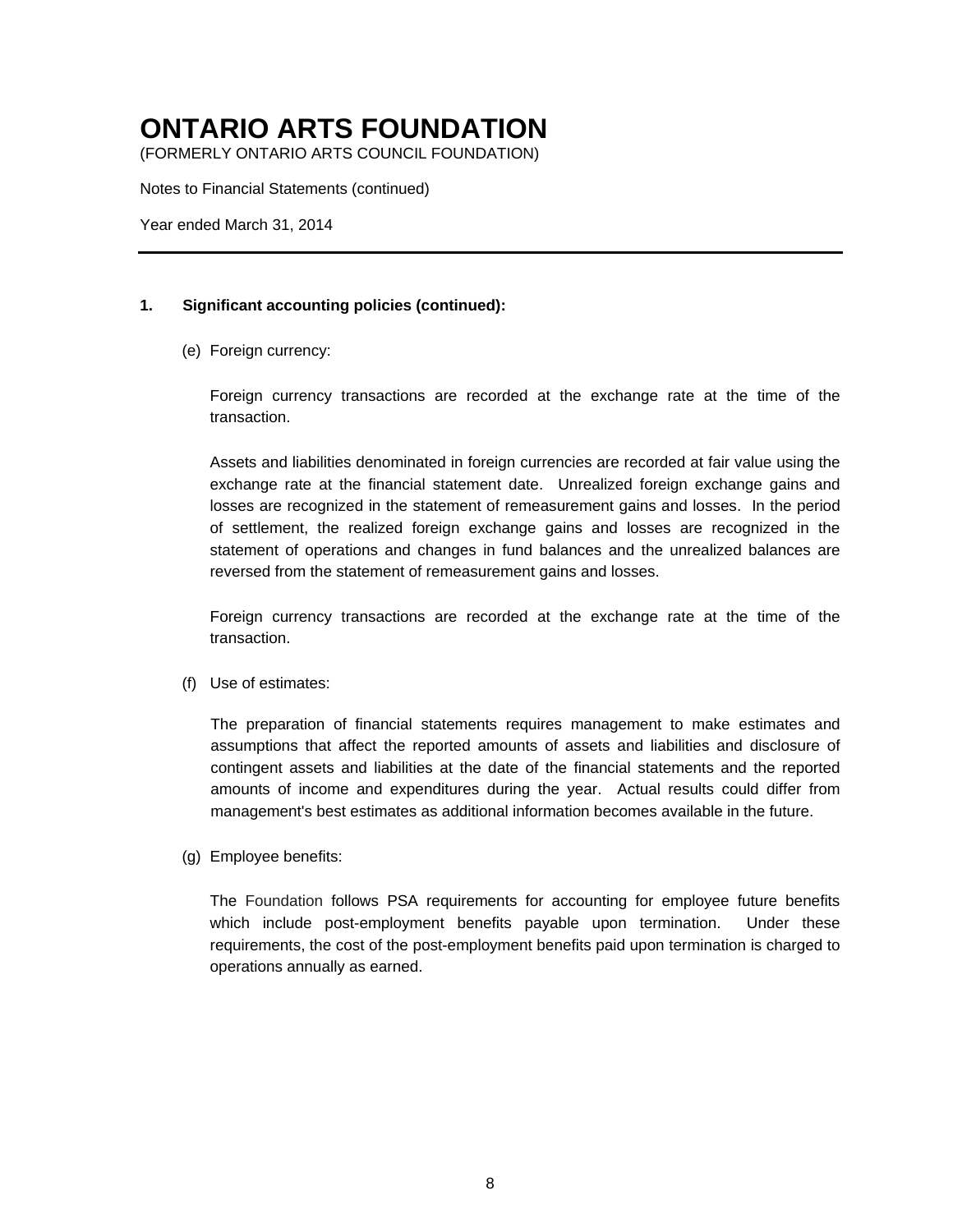(FORMERLY ONTARIO ARTS COUNCIL FOUNDATION)

Notes to Financial Statements (continued)

Year ended March 31, 2014

#### **1. Significant accounting policies (continued):**

(e) Foreign currency:

Foreign currency transactions are recorded at the exchange rate at the time of the transaction.

Assets and liabilities denominated in foreign currencies are recorded at fair value using the exchange rate at the financial statement date. Unrealized foreign exchange gains and losses are recognized in the statement of remeasurement gains and losses. In the period of settlement, the realized foreign exchange gains and losses are recognized in the statement of operations and changes in fund balances and the unrealized balances are reversed from the statement of remeasurement gains and losses.

Foreign currency transactions are recorded at the exchange rate at the time of the transaction.

(f) Use of estimates:

The preparation of financial statements requires management to make estimates and assumptions that affect the reported amounts of assets and liabilities and disclosure of contingent assets and liabilities at the date of the financial statements and the reported amounts of income and expenditures during the year. Actual results could differ from management's best estimates as additional information becomes available in the future.

(g) Employee benefits:

The Foundation follows PSA requirements for accounting for employee future benefits which include post-employment benefits payable upon termination. Under these requirements, the cost of the post-employment benefits paid upon termination is charged to operations annually as earned.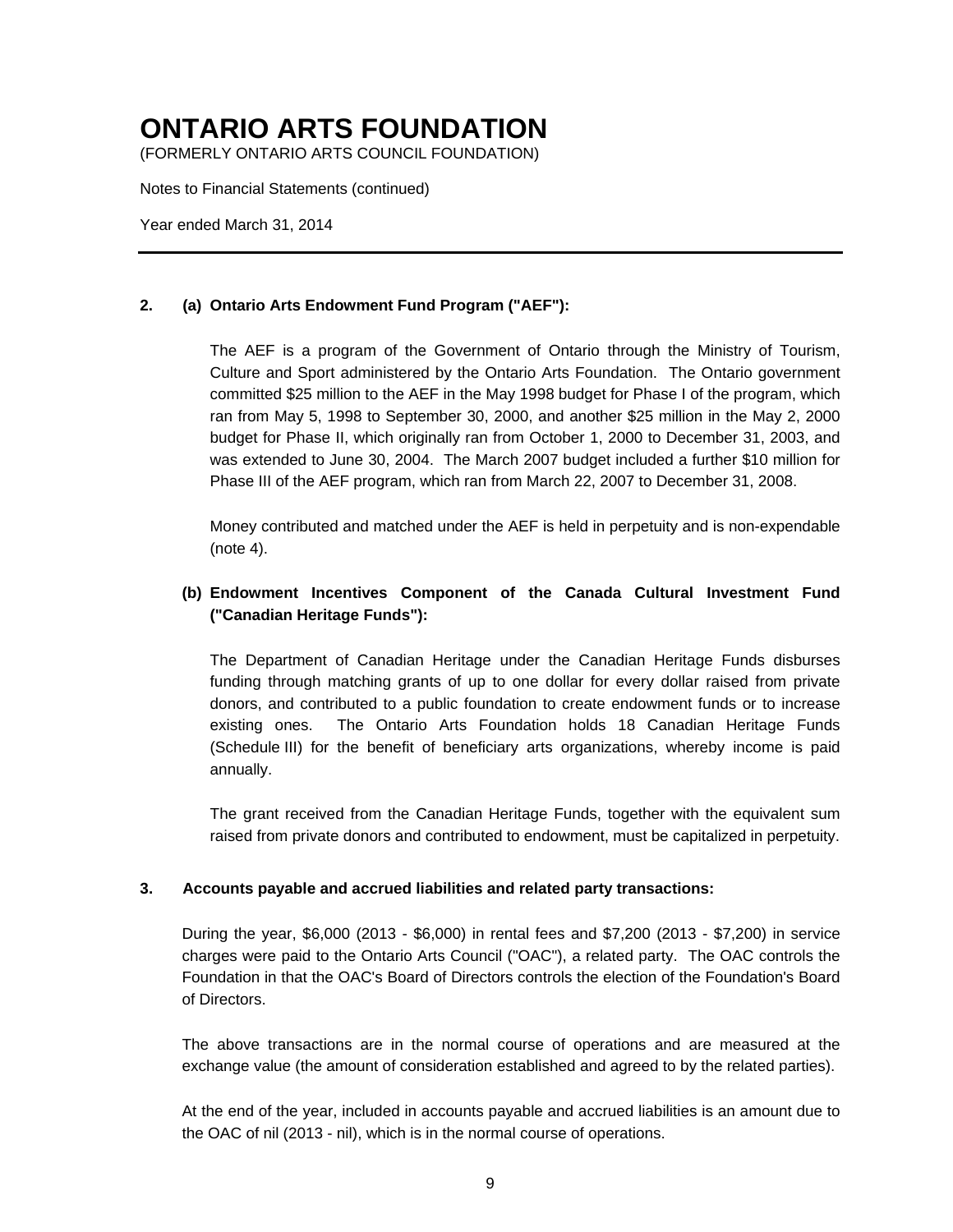(FORMERLY ONTARIO ARTS COUNCIL FOUNDATION)

Notes to Financial Statements (continued)

Year ended March 31, 2014

### **2. (a) Ontario Arts Endowment Fund Program ("AEF"):**

The AEF is a program of the Government of Ontario through the Ministry of Tourism, Culture and Sport administered by the Ontario Arts Foundation. The Ontario government committed \$25 million to the AEF in the May 1998 budget for Phase I of the program, which ran from May 5, 1998 to September 30, 2000, and another \$25 million in the May 2, 2000 budget for Phase II, which originally ran from October 1, 2000 to December 31, 2003, and was extended to June 30, 2004. The March 2007 budget included a further \$10 million for Phase III of the AEF program, which ran from March 22, 2007 to December 31, 2008.

Money contributed and matched under the AEF is held in perpetuity and is non-expendable (note 4).

### **(b) Endowment Incentives Component of the Canada Cultural Investment Fund ("Canadian Heritage Funds"):**

The Department of Canadian Heritage under the Canadian Heritage Funds disburses funding through matching grants of up to one dollar for every dollar raised from private donors, and contributed to a public foundation to create endowment funds or to increase existing ones. The Ontario Arts Foundation holds 18 Canadian Heritage Funds (Schedule III) for the benefit of beneficiary arts organizations, whereby income is paid annually.

The grant received from the Canadian Heritage Funds, together with the equivalent sum raised from private donors and contributed to endowment, must be capitalized in perpetuity.

#### **3. Accounts payable and accrued liabilities and related party transactions:**

During the year, \$6,000 (2013 - \$6,000) in rental fees and \$7,200 (2013 - \$7,200) in service charges were paid to the Ontario Arts Council ("OAC"), a related party. The OAC controls the Foundation in that the OAC's Board of Directors controls the election of the Foundation's Board of Directors.

The above transactions are in the normal course of operations and are measured at the exchange value (the amount of consideration established and agreed to by the related parties).

At the end of the year, included in accounts payable and accrued liabilities is an amount due to the OAC of nil (2013 - nil), which is in the normal course of operations.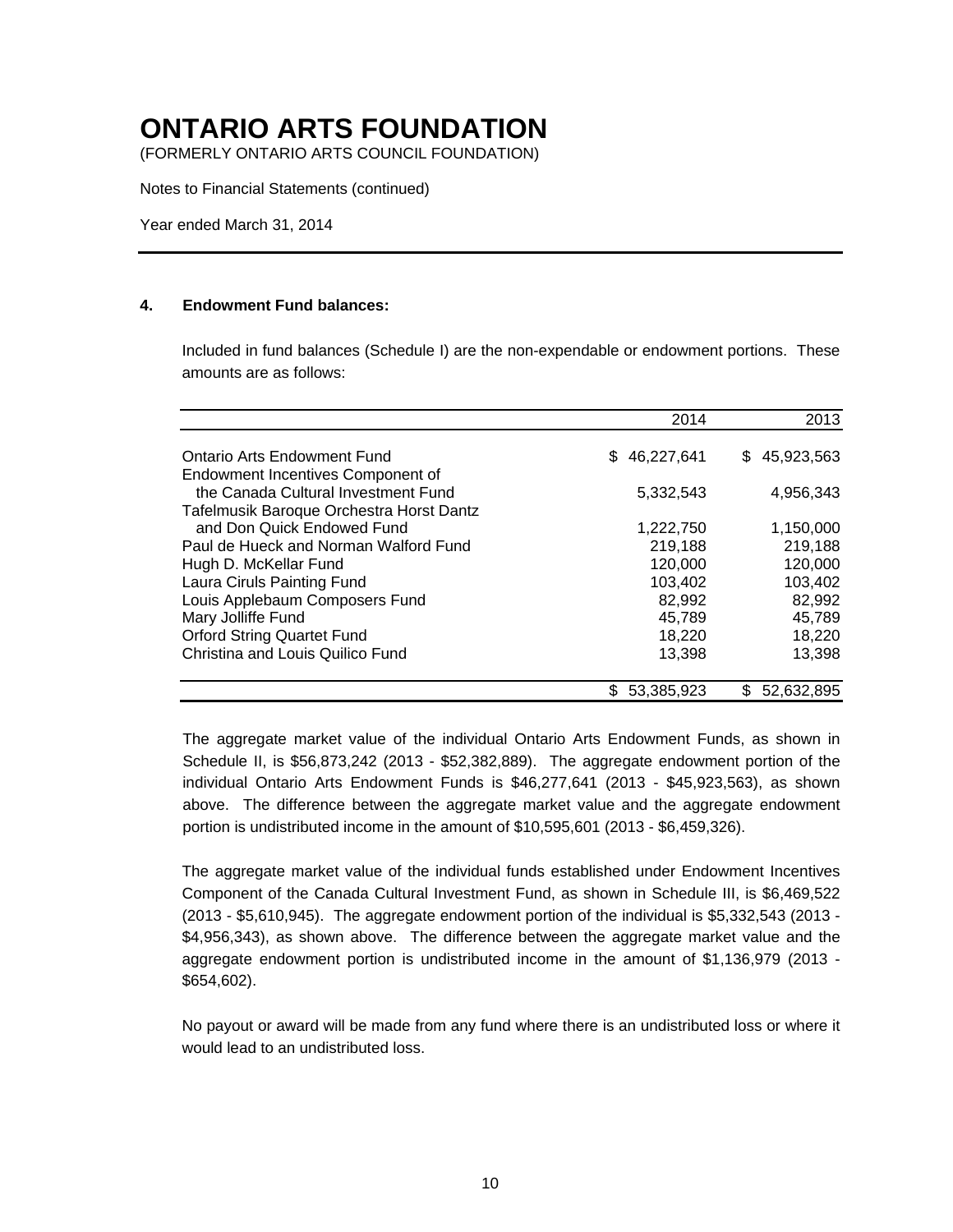(FORMERLY ONTARIO ARTS COUNCIL FOUNDATION)

Notes to Financial Statements (continued)

Year ended March 31, 2014

#### **4. Endowment Fund balances:**

Included in fund balances (Schedule I) are the non-expendable or endowment portions. These amounts are as follows:

|                                          | 2014             | 2013             |
|------------------------------------------|------------------|------------------|
| Ontario Arts Endowment Fund              | 46,227,641<br>S. | 45,923,563<br>S. |
| Endowment Incentives Component of        |                  |                  |
| the Canada Cultural Investment Fund      | 5,332,543        | 4,956,343        |
| Tafelmusik Baroque Orchestra Horst Dantz |                  |                  |
| and Don Quick Endowed Fund               | 1,222,750        | 1,150,000        |
| Paul de Hueck and Norman Walford Fund    | 219,188          | 219,188          |
| Hugh D. McKellar Fund                    | 120,000          | 120,000          |
| Laura Ciruls Painting Fund               | 103,402          | 103,402          |
| Louis Applebaum Composers Fund           | 82,992           | 82,992           |
| Mary Jolliffe Fund                       | 45,789           | 45,789           |
| <b>Orford String Quartet Fund</b>        | 18,220           | 18,220           |
| Christina and Louis Quilico Fund         | 13,398           | 13,398           |
|                                          | 53.385.923       | 52.632.895       |

The aggregate market value of the individual Ontario Arts Endowment Funds, as shown in Schedule II, is \$56,873,242 (2013 - \$52,382,889). The aggregate endowment portion of the individual Ontario Arts Endowment Funds is \$46,277,641 (2013 - \$45,923,563), as shown above. The difference between the aggregate market value and the aggregate endowment portion is undistributed income in the amount of \$10,595,601 (2013 - \$6,459,326).

The aggregate market value of the individual funds established under Endowment Incentives Component of the Canada Cultural Investment Fund, as shown in Schedule III, is \$6,469,522 (2013 - \$5,610,945). The aggregate endowment portion of the individual is \$5,332,543 (2013 - \$4,956,343), as shown above. The difference between the aggregate market value and the aggregate endowment portion is undistributed income in the amount of \$1,136,979 (2013 - \$654,602).

No payout or award will be made from any fund where there is an undistributed loss or where it would lead to an undistributed loss.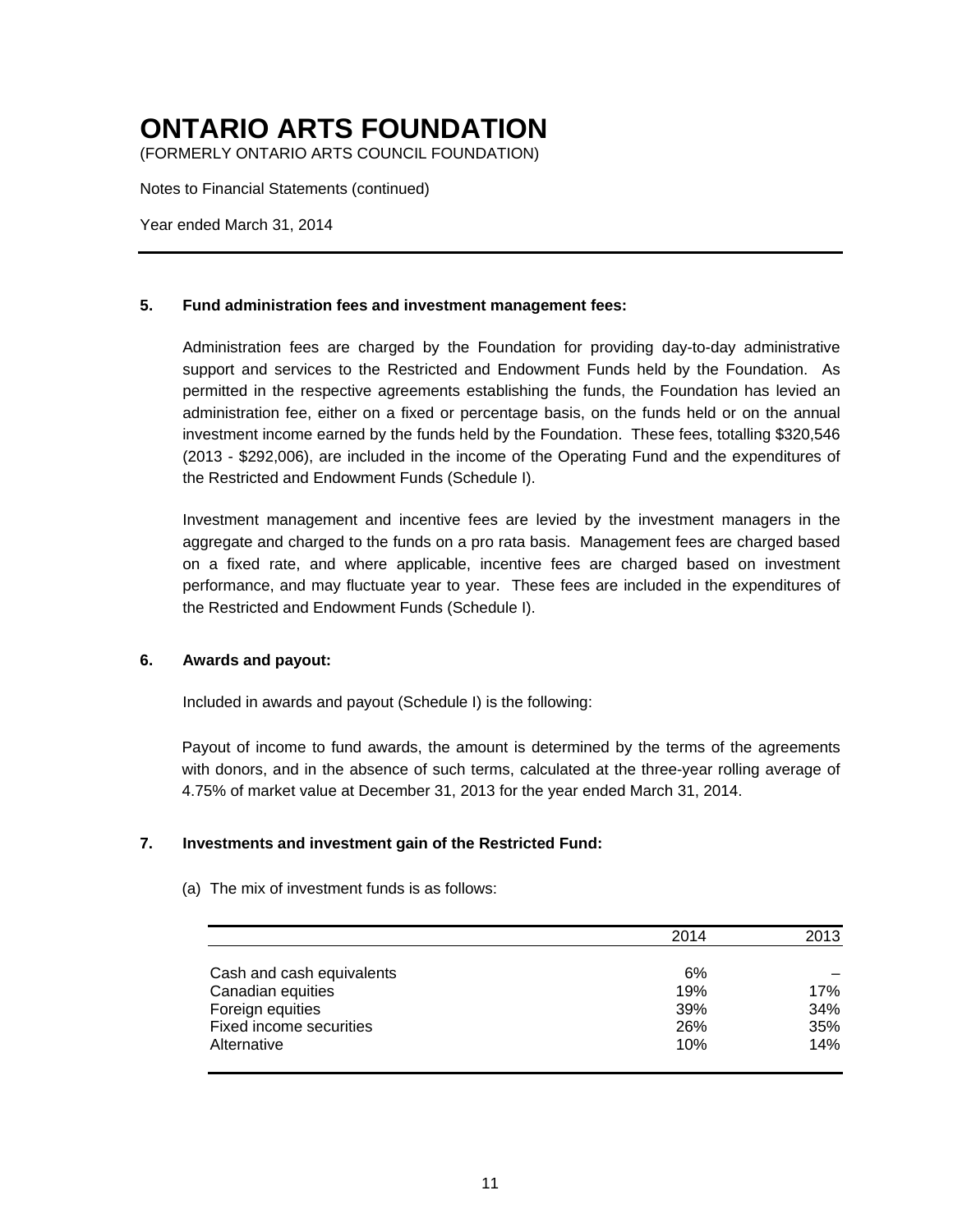(FORMERLY ONTARIO ARTS COUNCIL FOUNDATION)

Notes to Financial Statements (continued)

Year ended March 31, 2014

#### **5. Fund administration fees and investment management fees:**

Administration fees are charged by the Foundation for providing day-to-day administrative support and services to the Restricted and Endowment Funds held by the Foundation. As permitted in the respective agreements establishing the funds, the Foundation has levied an administration fee, either on a fixed or percentage basis, on the funds held or on the annual investment income earned by the funds held by the Foundation. These fees, totalling \$320,546 (2013 - \$292,006), are included in the income of the Operating Fund and the expenditures of the Restricted and Endowment Funds (Schedule I).

Investment management and incentive fees are levied by the investment managers in the aggregate and charged to the funds on a pro rata basis. Management fees are charged based on a fixed rate, and where applicable, incentive fees are charged based on investment performance, and may fluctuate year to year. These fees are included in the expenditures of the Restricted and Endowment Funds (Schedule I).

#### **6. Awards and payout:**

Included in awards and payout (Schedule I) is the following:

Payout of income to fund awards, the amount is determined by the terms of the agreements with donors, and in the absence of such terms, calculated at the three-year rolling average of 4.75% of market value at December 31, 2013 for the year ended March 31, 2014.

#### **7. Investments and investment gain of the Restricted Fund:**

|                           | 2014 | 2013 |
|---------------------------|------|------|
|                           |      |      |
| Cash and cash equivalents | 6%   |      |
| Canadian equities         | 19%  | 17%  |
| Foreign equities          | 39%  | 34%  |
| Fixed income securities   | 26%  | 35%  |
| Alternative               | 10%  | 14%  |

(a) The mix of investment funds is as follows: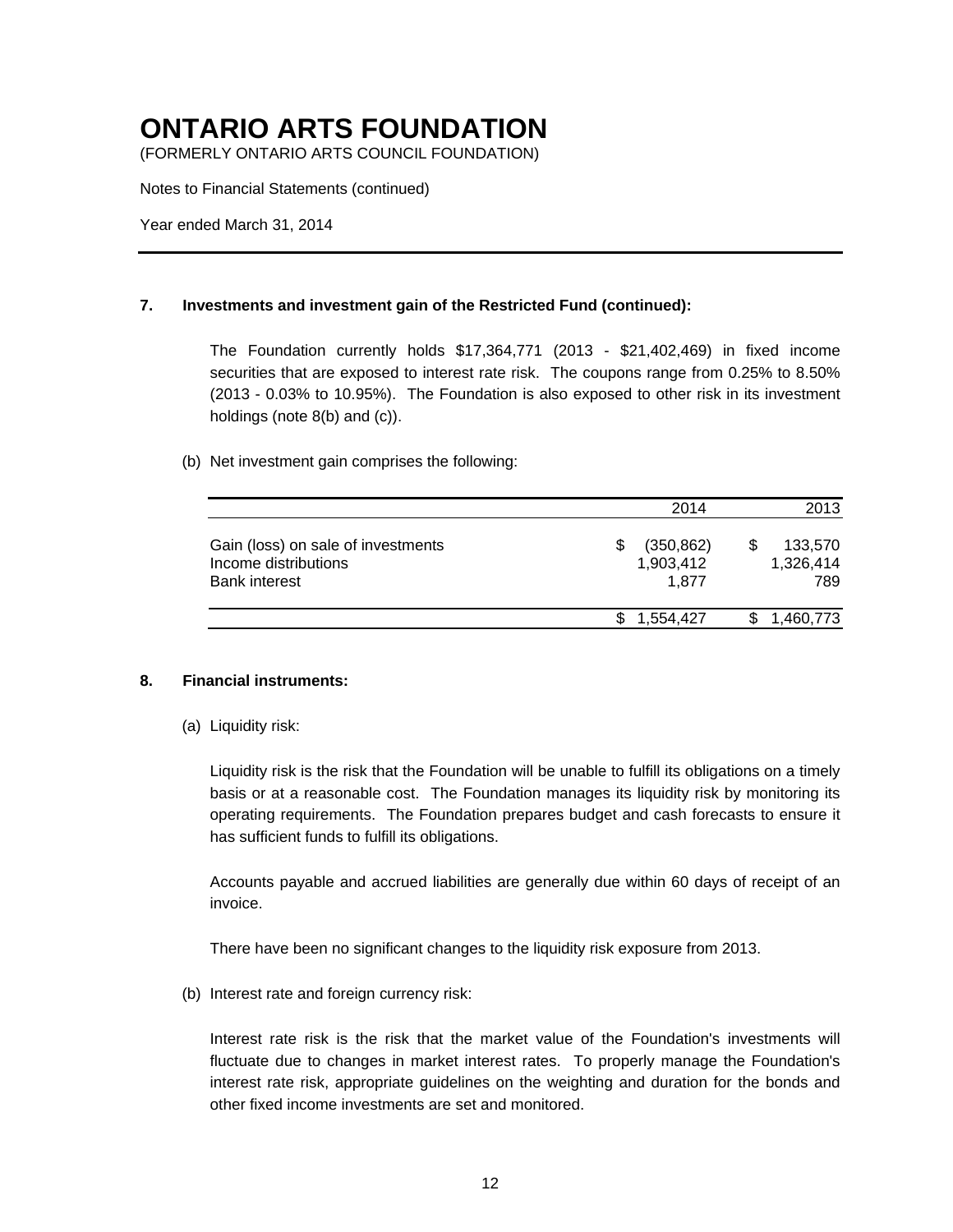(FORMERLY ONTARIO ARTS COUNCIL FOUNDATION)

Notes to Financial Statements (continued)

Year ended March 31, 2014

#### **7. Investments and investment gain of the Restricted Fund (continued):**

The Foundation currently holds \$17,364,771 (2013 - \$21,402,469) in fixed income securities that are exposed to interest rate risk. The coupons range from 0.25% to 8.50% (2013 - 0.03% to 10.95%). The Foundation is also exposed to other risk in its investment holdings (note 8(b) and (c)).

#### (b) Net investment gain comprises the following:

|                                                                                    | 2014                                   | 2013                        |
|------------------------------------------------------------------------------------|----------------------------------------|-----------------------------|
| Gain (loss) on sale of investments<br>Income distributions<br><b>Bank interest</b> | \$<br>(350, 862)<br>1,903,412<br>1.877 | 133,570<br>1,326,414<br>789 |
|                                                                                    | 1,554,427                              | 1,460,773                   |

#### **8. Financial instruments:**

(a) Liquidity risk:

Liquidity risk is the risk that the Foundation will be unable to fulfill its obligations on a timely basis or at a reasonable cost. The Foundation manages its liquidity risk by monitoring its operating requirements. The Foundation prepares budget and cash forecasts to ensure it has sufficient funds to fulfill its obligations.

Accounts payable and accrued liabilities are generally due within 60 days of receipt of an invoice.

There have been no significant changes to the liquidity risk exposure from 2013.

(b) Interest rate and foreign currency risk:

Interest rate risk is the risk that the market value of the Foundation's investments will fluctuate due to changes in market interest rates. To properly manage the Foundation's interest rate risk, appropriate guidelines on the weighting and duration for the bonds and other fixed income investments are set and monitored.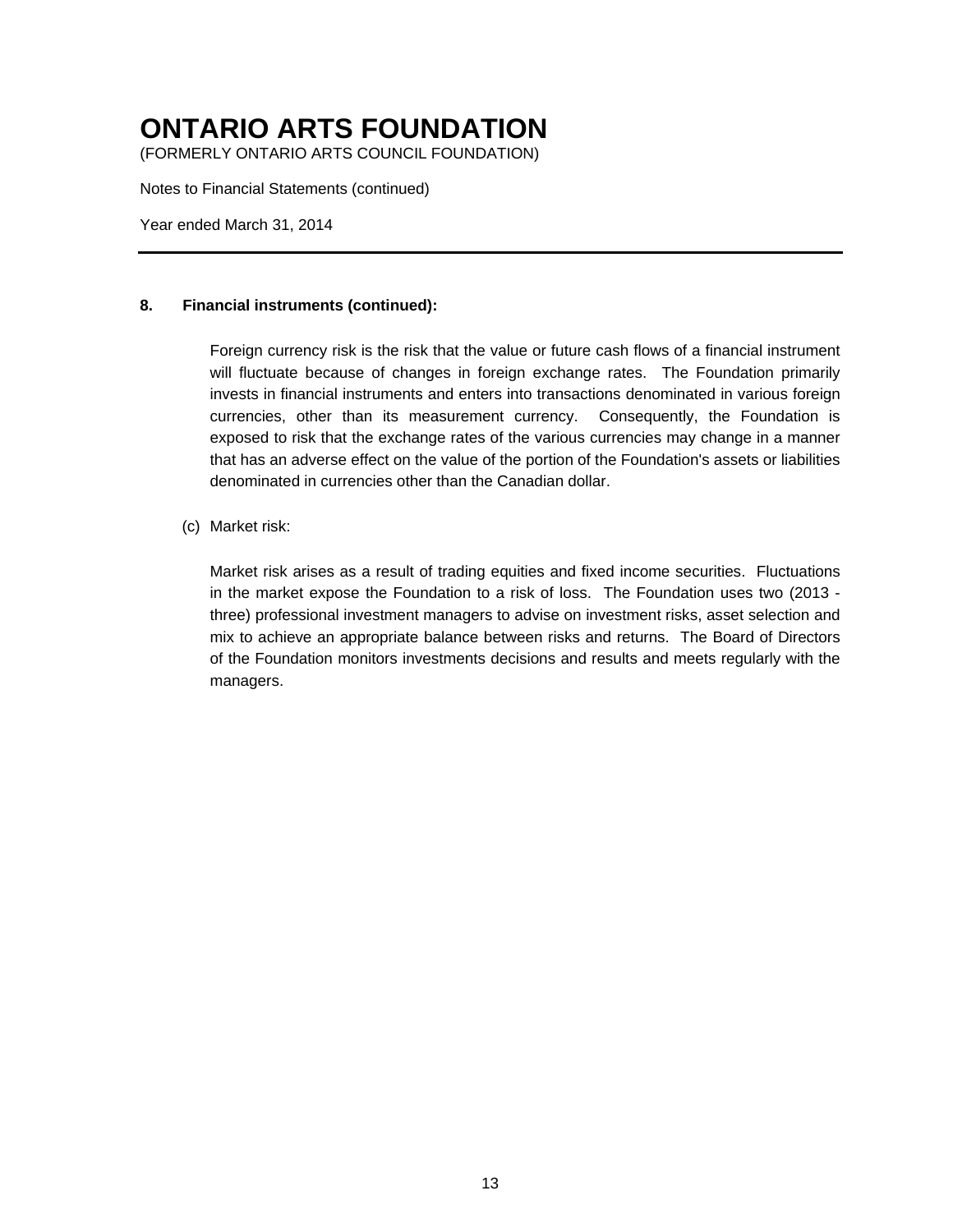(FORMERLY ONTARIO ARTS COUNCIL FOUNDATION)

Notes to Financial Statements (continued)

Year ended March 31, 2014

#### **8. Financial instruments (continued):**

Foreign currency risk is the risk that the value or future cash flows of a financial instrument will fluctuate because of changes in foreign exchange rates. The Foundation primarily invests in financial instruments and enters into transactions denominated in various foreign currencies, other than its measurement currency. Consequently, the Foundation is exposed to risk that the exchange rates of the various currencies may change in a manner that has an adverse effect on the value of the portion of the Foundation's assets or liabilities denominated in currencies other than the Canadian dollar.

#### (c) Market risk:

Market risk arises as a result of trading equities and fixed income securities. Fluctuations in the market expose the Foundation to a risk of loss. The Foundation uses two (2013 three) professional investment managers to advise on investment risks, asset selection and mix to achieve an appropriate balance between risks and returns. The Board of Directors of the Foundation monitors investments decisions and results and meets regularly with the managers.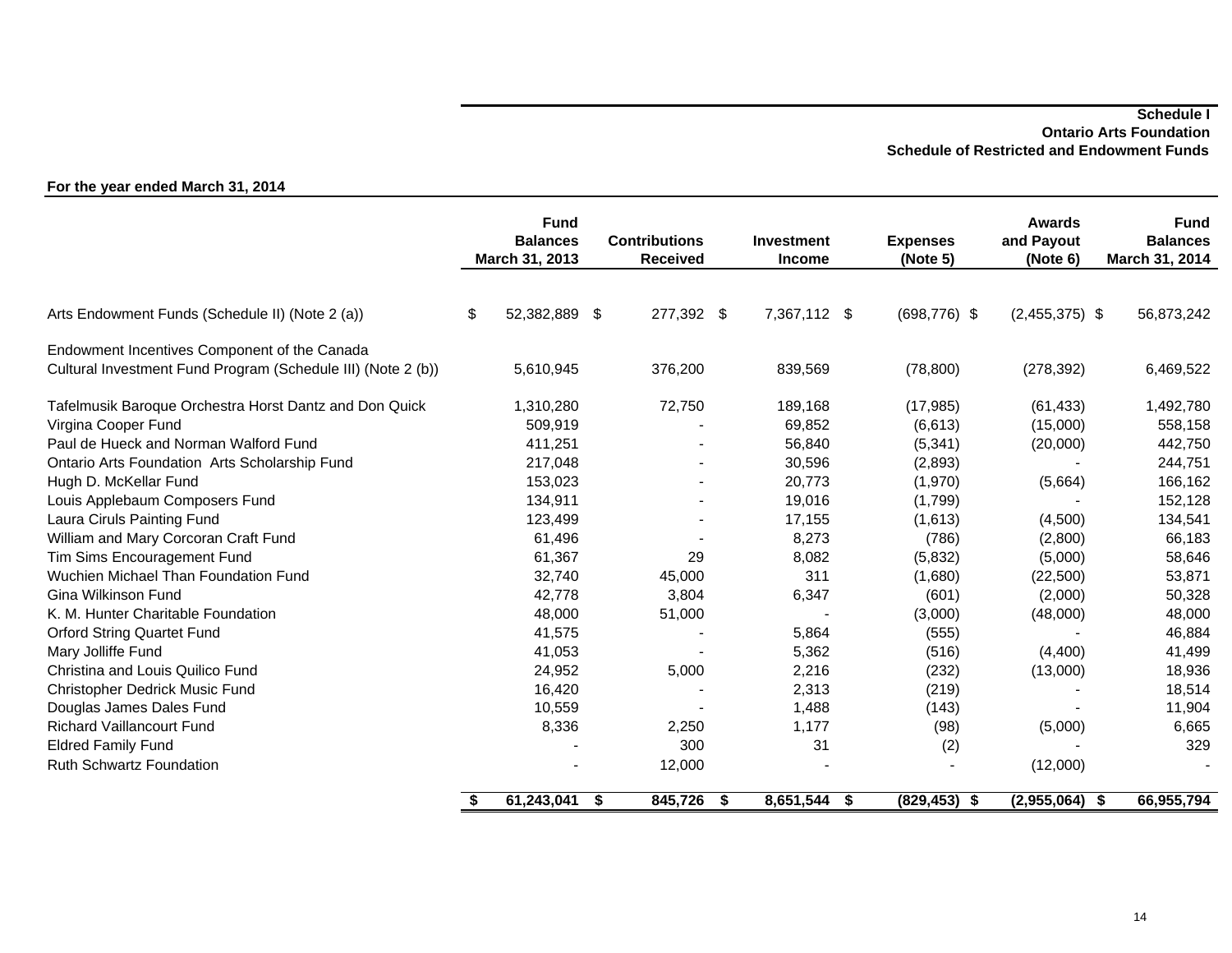#### **Schedule I Ontario Arts Foundation Schedule of Restricted and Endowment Funds**

|                                                              | <b>Fund</b><br><b>Balances</b><br>March 31, 2013 |     | <b>Contributions</b><br><b>Received</b> | <b>Investment</b><br><b>Income</b> |     | <b>Expenses</b><br>(Note 5) | Awards<br>and Payout<br>(Note 6) | <b>Fund</b><br><b>Balances</b><br>March 31, 2014 |
|--------------------------------------------------------------|--------------------------------------------------|-----|-----------------------------------------|------------------------------------|-----|-----------------------------|----------------------------------|--------------------------------------------------|
|                                                              |                                                  |     |                                         |                                    |     |                             |                                  |                                                  |
| Arts Endowment Funds (Schedule II) (Note 2 (a))              | \$<br>52,382,889                                 | -\$ | 277,392 \$                              | 7,367,112 \$                       |     | $(698, 776)$ \$             | $(2,455,375)$ \$                 | 56,873,242                                       |
| Endowment Incentives Component of the Canada                 |                                                  |     |                                         |                                    |     |                             |                                  |                                                  |
| Cultural Investment Fund Program (Schedule III) (Note 2 (b)) | 5,610,945                                        |     | 376,200                                 | 839,569                            |     | (78, 800)                   | (278, 392)                       | 6,469,522                                        |
| Tafelmusik Baroque Orchestra Horst Dantz and Don Quick       | 1,310,280                                        |     | 72,750                                  | 189,168                            |     | (17, 985)                   | (61, 433)                        | 1,492,780                                        |
| Virgina Cooper Fund                                          | 509,919                                          |     |                                         | 69,852                             |     | (6,613)                     | (15,000)                         | 558,158                                          |
| Paul de Hueck and Norman Walford Fund                        | 411,251                                          |     |                                         | 56,840                             |     | (5, 341)                    | (20,000)                         | 442,750                                          |
| Ontario Arts Foundation Arts Scholarship Fund                | 217,048                                          |     |                                         | 30,596                             |     | (2,893)                     |                                  | 244,751                                          |
| Hugh D. McKellar Fund                                        | 153,023                                          |     |                                         | 20,773                             |     | (1,970)                     | (5,664)                          | 166,162                                          |
| Louis Applebaum Composers Fund                               | 134,911                                          |     |                                         | 19,016                             |     | (1,799)                     |                                  | 152,128                                          |
| Laura Ciruls Painting Fund                                   | 123,499                                          |     |                                         | 17,155                             |     | (1,613)                     | (4,500)                          | 134,541                                          |
| William and Mary Corcoran Craft Fund                         | 61,496                                           |     |                                         | 8,273                              |     | (786)                       | (2,800)                          | 66,183                                           |
| Tim Sims Encouragement Fund                                  | 61,367                                           |     | 29                                      | 8,082                              |     | (5,832)                     | (5,000)                          | 58,646                                           |
| Wuchien Michael Than Foundation Fund                         | 32,740                                           |     | 45,000                                  | 311                                |     | (1,680)                     | (22, 500)                        | 53,871                                           |
| Gina Wilkinson Fund                                          | 42,778                                           |     | 3,804                                   | 6,347                              |     | (601)                       | (2,000)                          | 50,328                                           |
| K. M. Hunter Charitable Foundation                           | 48,000                                           |     | 51,000                                  |                                    |     | (3,000)                     | (48,000)                         | 48,000                                           |
| <b>Orford String Quartet Fund</b>                            | 41,575                                           |     |                                         | 5,864                              |     | (555)                       |                                  | 46,884                                           |
| Mary Jolliffe Fund                                           | 41,053                                           |     |                                         | 5,362                              |     | (516)                       | (4,400)                          | 41,499                                           |
| Christina and Louis Quilico Fund                             | 24,952                                           |     | 5,000                                   | 2,216                              |     | (232)                       | (13,000)                         | 18,936                                           |
| Christopher Dedrick Music Fund                               | 16,420                                           |     |                                         | 2,313                              |     | (219)                       |                                  | 18,514                                           |
| Douglas James Dales Fund                                     | 10,559                                           |     |                                         | 1,488                              |     | (143)                       |                                  | 11,904                                           |
| <b>Richard Vaillancourt Fund</b>                             | 8,336                                            |     | 2,250                                   | 1,177                              |     | (98)                        | (5,000)                          | 6,665                                            |
| <b>Eldred Family Fund</b>                                    |                                                  |     | 300                                     | 31                                 |     | (2)                         |                                  | 329                                              |
| <b>Ruth Schwartz Foundation</b>                              |                                                  |     | 12,000                                  |                                    |     |                             | (12,000)                         |                                                  |
|                                                              | \$<br>61,243,041                                 | \$  | 845,726                                 | \$<br>8,651,544                    | -\$ | $(829, 453)$ \$             | $(2,955,064)$ \$                 | 66,955,794                                       |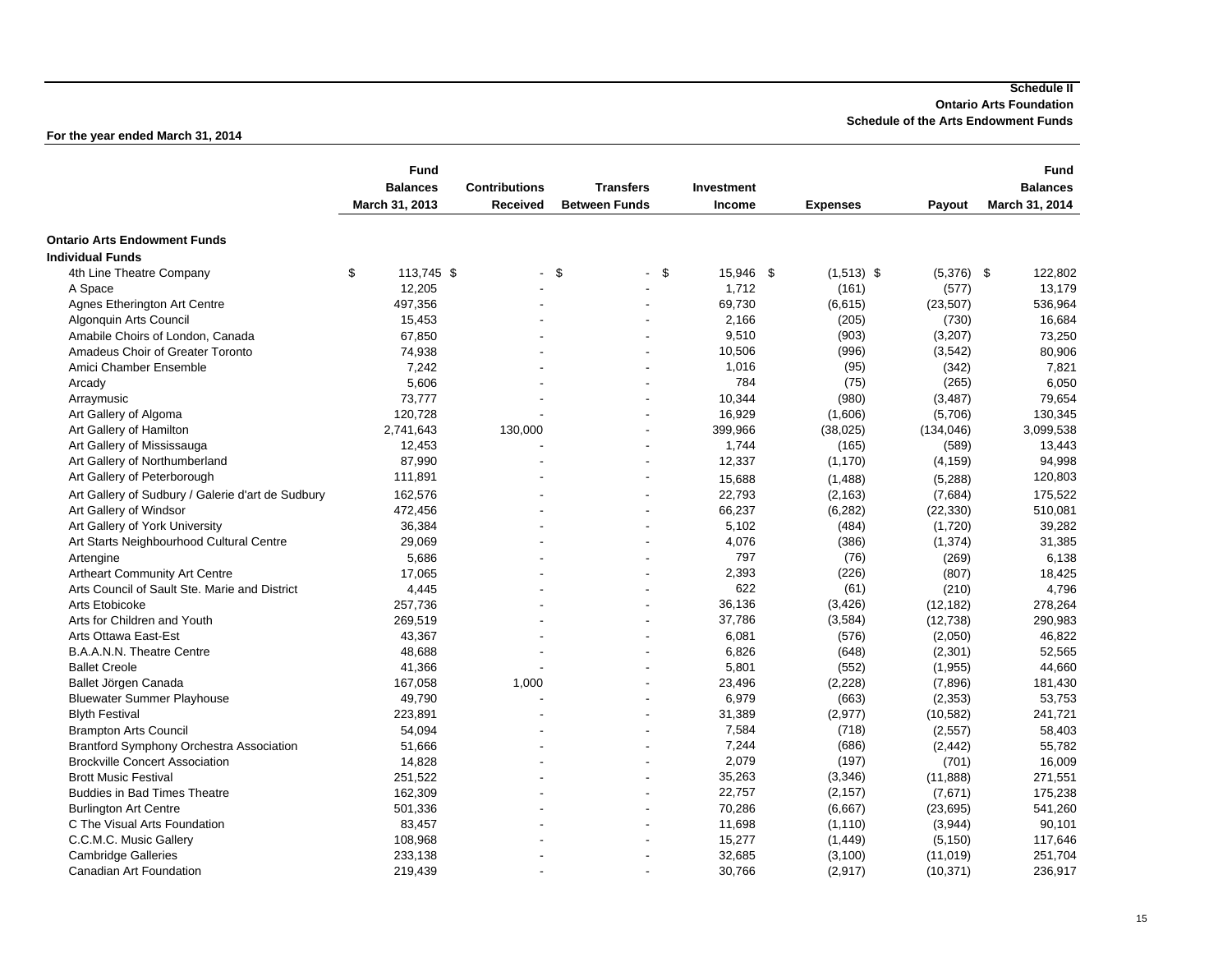#### **For the year ended March 31, 2014**

| <b>Ontario Arts Endowment Funds</b><br><b>Individual Funds</b><br>\$<br>\$<br>15,946 \$<br>$(1,513)$ \$<br>4th Line Theatre Company<br>113,745 \$<br>-\$<br>$(5,376)$ \$<br>122,802<br>$\blacksquare$<br>$\blacksquare$<br>1,712<br>12,205<br>(161)<br>13,179<br>A Space<br>(577)<br>Agnes Etherington Art Centre<br>497,356<br>69,730<br>(6,615)<br>(23, 507)<br>536,964<br>2,166<br>Algonquin Arts Council<br>15,453<br>(205)<br>(730)<br>16,684<br>9,510<br>(903)<br>(3, 207)<br>Amabile Choirs of London, Canada<br>67,850<br>73,250<br>Amadeus Choir of Greater Toronto<br>10,506<br>(996)<br>(3,542)<br>80,906<br>74,938<br>$\blacksquare$<br>1,016<br>Amici Chamber Ensemble<br>(95)<br>7,242<br>(342)<br>7,821<br>784<br>(75)<br>5,606<br>(265)<br>Arcady<br>6,050<br>73,777<br>10,344<br>(980)<br>(3, 487)<br>Arraymusic<br>79,654<br>120,728<br>16,929<br>130,345<br>Art Gallery of Algoma<br>(1,606)<br>(5,706)<br>399,966<br>3,099,538<br>Art Gallery of Hamilton<br>2,741,643<br>130,000<br>(38, 025)<br>(134, 046)<br>$\blacksquare$<br>Art Gallery of Mississauga<br>12,453<br>1,744<br>(165)<br>13,443<br>(589)<br>87,990<br>12,337<br>(1, 170)<br>Art Gallery of Northumberland<br>(4, 159)<br>94,998<br>Art Gallery of Peterborough<br>111,891<br>120,803<br>15,688<br>(1,488)<br>(5,288)<br>$\overline{\phantom{a}}$<br>22,793<br>Art Gallery of Sudbury / Galerie d'art de Sudbury<br>162,576<br>(2, 163)<br>(7,684)<br>175,522<br>66,237<br>(6, 282)<br>(22, 330)<br>510,081<br>Art Gallery of Windsor<br>472,456<br>39,282<br>Art Gallery of York University<br>36,384<br>5,102<br>(484)<br>(1,720)<br>$\overline{a}$<br>4,076<br>Art Starts Neighbourhood Cultural Centre<br>29,069<br>(386)<br>(1, 374)<br>31,385<br>797<br>5,686<br>(76)<br>(269)<br>6,138<br>Artengine<br>2,393<br>(226)<br><b>Artheart Community Art Centre</b><br>17,065<br>(807)<br>18,425<br>622<br>(61)<br>Arts Council of Sault Ste. Marie and District<br>4,445<br>(210)<br>4,796<br>36,136<br>(3, 426)<br>Arts Etobicoke<br>257,736<br>(12, 182)<br>278,264<br>37,786<br>Arts for Children and Youth<br>269,519<br>(3,584)<br>290,983<br>(12, 738)<br>6,081<br>(576)<br>Arts Ottawa East-Est<br>43,367<br>(2,050)<br>46,822<br>B.A.A.N.N. Theatre Centre<br>52,565<br>48,688<br>6,826<br>(648)<br>(2,301)<br>٠<br><b>Ballet Creole</b><br>41,366<br>5,801<br>(552)<br>(1, 955)<br>44,660<br>Ballet Jörgen Canada<br>167,058<br>1,000<br>23,496<br>(2, 228)<br>(7,896)<br>181,430<br>6,979<br><b>Bluewater Summer Playhouse</b><br>49,790<br>(663)<br>(2, 353)<br>53,753<br>31,389<br>(2, 977)<br>241,721<br><b>Blyth Festival</b><br>223,891<br>(10, 582)<br>7,584<br>(718)<br>(2, 557)<br>58,403<br>54,094<br><b>Brampton Arts Council</b><br>7,244<br>(686)<br><b>Brantford Symphony Orchestra Association</b><br>51,666<br>(2, 442)<br>55,782<br>2,079<br>(197)<br>14,828<br>(701)<br>16,009<br><b>Brockville Concert Association</b><br>35,263<br><b>Brott Music Festival</b><br>251,522<br>(3, 346)<br>(11, 888)<br>271,551<br>$\blacksquare$<br>162,309<br><b>Buddies in Bad Times Theatre</b><br>22,757<br>(2, 157)<br>(7,671)<br>175,238<br><b>Burlington Art Centre</b><br>501,336<br>70,286<br>(6,667)<br>(23, 695)<br>541,260<br>C The Visual Arts Foundation<br>83,457<br>11,698<br>(1, 110)<br>(3,944)<br>90,101<br>$\overline{\phantom{a}}$<br>15,277<br>(1, 449)<br>C.C.M.C. Music Gallery<br>108,968<br>(5, 150)<br>117,646<br>32,685<br>(3, 100)<br><b>Cambridge Galleries</b><br>233,138<br>(11, 019)<br>251,704<br>÷ |                         | <b>Fund</b><br><b>Balances</b><br>March 31, 2013 | <b>Contributions</b><br><b>Received</b> | <b>Transfers</b><br><b>Between Funds</b> | Investment<br>Income | <b>Expenses</b> | Payout    | <b>Fund</b><br><b>Balances</b><br>March 31, 2014 |
|-------------------------------------------------------------------------------------------------------------------------------------------------------------------------------------------------------------------------------------------------------------------------------------------------------------------------------------------------------------------------------------------------------------------------------------------------------------------------------------------------------------------------------------------------------------------------------------------------------------------------------------------------------------------------------------------------------------------------------------------------------------------------------------------------------------------------------------------------------------------------------------------------------------------------------------------------------------------------------------------------------------------------------------------------------------------------------------------------------------------------------------------------------------------------------------------------------------------------------------------------------------------------------------------------------------------------------------------------------------------------------------------------------------------------------------------------------------------------------------------------------------------------------------------------------------------------------------------------------------------------------------------------------------------------------------------------------------------------------------------------------------------------------------------------------------------------------------------------------------------------------------------------------------------------------------------------------------------------------------------------------------------------------------------------------------------------------------------------------------------------------------------------------------------------------------------------------------------------------------------------------------------------------------------------------------------------------------------------------------------------------------------------------------------------------------------------------------------------------------------------------------------------------------------------------------------------------------------------------------------------------------------------------------------------------------------------------------------------------------------------------------------------------------------------------------------------------------------------------------------------------------------------------------------------------------------------------------------------------------------------------------------------------------------------------------------------------------------------------------------------------------------------------------------------------------------------------------------------------------------------------------------------------------------------------------------------------------------------------------------------------------------------------------------------------------------------------------------------------------------------------------------------------------------|-------------------------|--------------------------------------------------|-----------------------------------------|------------------------------------------|----------------------|-----------------|-----------|--------------------------------------------------|
|                                                                                                                                                                                                                                                                                                                                                                                                                                                                                                                                                                                                                                                                                                                                                                                                                                                                                                                                                                                                                                                                                                                                                                                                                                                                                                                                                                                                                                                                                                                                                                                                                                                                                                                                                                                                                                                                                                                                                                                                                                                                                                                                                                                                                                                                                                                                                                                                                                                                                                                                                                                                                                                                                                                                                                                                                                                                                                                                                                                                                                                                                                                                                                                                                                                                                                                                                                                                                                                                                                                                           |                         |                                                  |                                         |                                          |                      |                 |           |                                                  |
|                                                                                                                                                                                                                                                                                                                                                                                                                                                                                                                                                                                                                                                                                                                                                                                                                                                                                                                                                                                                                                                                                                                                                                                                                                                                                                                                                                                                                                                                                                                                                                                                                                                                                                                                                                                                                                                                                                                                                                                                                                                                                                                                                                                                                                                                                                                                                                                                                                                                                                                                                                                                                                                                                                                                                                                                                                                                                                                                                                                                                                                                                                                                                                                                                                                                                                                                                                                                                                                                                                                                           |                         |                                                  |                                         |                                          |                      |                 |           |                                                  |
|                                                                                                                                                                                                                                                                                                                                                                                                                                                                                                                                                                                                                                                                                                                                                                                                                                                                                                                                                                                                                                                                                                                                                                                                                                                                                                                                                                                                                                                                                                                                                                                                                                                                                                                                                                                                                                                                                                                                                                                                                                                                                                                                                                                                                                                                                                                                                                                                                                                                                                                                                                                                                                                                                                                                                                                                                                                                                                                                                                                                                                                                                                                                                                                                                                                                                                                                                                                                                                                                                                                                           |                         |                                                  |                                         |                                          |                      |                 |           |                                                  |
|                                                                                                                                                                                                                                                                                                                                                                                                                                                                                                                                                                                                                                                                                                                                                                                                                                                                                                                                                                                                                                                                                                                                                                                                                                                                                                                                                                                                                                                                                                                                                                                                                                                                                                                                                                                                                                                                                                                                                                                                                                                                                                                                                                                                                                                                                                                                                                                                                                                                                                                                                                                                                                                                                                                                                                                                                                                                                                                                                                                                                                                                                                                                                                                                                                                                                                                                                                                                                                                                                                                                           |                         |                                                  |                                         |                                          |                      |                 |           |                                                  |
|                                                                                                                                                                                                                                                                                                                                                                                                                                                                                                                                                                                                                                                                                                                                                                                                                                                                                                                                                                                                                                                                                                                                                                                                                                                                                                                                                                                                                                                                                                                                                                                                                                                                                                                                                                                                                                                                                                                                                                                                                                                                                                                                                                                                                                                                                                                                                                                                                                                                                                                                                                                                                                                                                                                                                                                                                                                                                                                                                                                                                                                                                                                                                                                                                                                                                                                                                                                                                                                                                                                                           |                         |                                                  |                                         |                                          |                      |                 |           |                                                  |
|                                                                                                                                                                                                                                                                                                                                                                                                                                                                                                                                                                                                                                                                                                                                                                                                                                                                                                                                                                                                                                                                                                                                                                                                                                                                                                                                                                                                                                                                                                                                                                                                                                                                                                                                                                                                                                                                                                                                                                                                                                                                                                                                                                                                                                                                                                                                                                                                                                                                                                                                                                                                                                                                                                                                                                                                                                                                                                                                                                                                                                                                                                                                                                                                                                                                                                                                                                                                                                                                                                                                           |                         |                                                  |                                         |                                          |                      |                 |           |                                                  |
|                                                                                                                                                                                                                                                                                                                                                                                                                                                                                                                                                                                                                                                                                                                                                                                                                                                                                                                                                                                                                                                                                                                                                                                                                                                                                                                                                                                                                                                                                                                                                                                                                                                                                                                                                                                                                                                                                                                                                                                                                                                                                                                                                                                                                                                                                                                                                                                                                                                                                                                                                                                                                                                                                                                                                                                                                                                                                                                                                                                                                                                                                                                                                                                                                                                                                                                                                                                                                                                                                                                                           |                         |                                                  |                                         |                                          |                      |                 |           |                                                  |
|                                                                                                                                                                                                                                                                                                                                                                                                                                                                                                                                                                                                                                                                                                                                                                                                                                                                                                                                                                                                                                                                                                                                                                                                                                                                                                                                                                                                                                                                                                                                                                                                                                                                                                                                                                                                                                                                                                                                                                                                                                                                                                                                                                                                                                                                                                                                                                                                                                                                                                                                                                                                                                                                                                                                                                                                                                                                                                                                                                                                                                                                                                                                                                                                                                                                                                                                                                                                                                                                                                                                           |                         |                                                  |                                         |                                          |                      |                 |           |                                                  |
|                                                                                                                                                                                                                                                                                                                                                                                                                                                                                                                                                                                                                                                                                                                                                                                                                                                                                                                                                                                                                                                                                                                                                                                                                                                                                                                                                                                                                                                                                                                                                                                                                                                                                                                                                                                                                                                                                                                                                                                                                                                                                                                                                                                                                                                                                                                                                                                                                                                                                                                                                                                                                                                                                                                                                                                                                                                                                                                                                                                                                                                                                                                                                                                                                                                                                                                                                                                                                                                                                                                                           |                         |                                                  |                                         |                                          |                      |                 |           |                                                  |
|                                                                                                                                                                                                                                                                                                                                                                                                                                                                                                                                                                                                                                                                                                                                                                                                                                                                                                                                                                                                                                                                                                                                                                                                                                                                                                                                                                                                                                                                                                                                                                                                                                                                                                                                                                                                                                                                                                                                                                                                                                                                                                                                                                                                                                                                                                                                                                                                                                                                                                                                                                                                                                                                                                                                                                                                                                                                                                                                                                                                                                                                                                                                                                                                                                                                                                                                                                                                                                                                                                                                           |                         |                                                  |                                         |                                          |                      |                 |           |                                                  |
|                                                                                                                                                                                                                                                                                                                                                                                                                                                                                                                                                                                                                                                                                                                                                                                                                                                                                                                                                                                                                                                                                                                                                                                                                                                                                                                                                                                                                                                                                                                                                                                                                                                                                                                                                                                                                                                                                                                                                                                                                                                                                                                                                                                                                                                                                                                                                                                                                                                                                                                                                                                                                                                                                                                                                                                                                                                                                                                                                                                                                                                                                                                                                                                                                                                                                                                                                                                                                                                                                                                                           |                         |                                                  |                                         |                                          |                      |                 |           |                                                  |
|                                                                                                                                                                                                                                                                                                                                                                                                                                                                                                                                                                                                                                                                                                                                                                                                                                                                                                                                                                                                                                                                                                                                                                                                                                                                                                                                                                                                                                                                                                                                                                                                                                                                                                                                                                                                                                                                                                                                                                                                                                                                                                                                                                                                                                                                                                                                                                                                                                                                                                                                                                                                                                                                                                                                                                                                                                                                                                                                                                                                                                                                                                                                                                                                                                                                                                                                                                                                                                                                                                                                           |                         |                                                  |                                         |                                          |                      |                 |           |                                                  |
|                                                                                                                                                                                                                                                                                                                                                                                                                                                                                                                                                                                                                                                                                                                                                                                                                                                                                                                                                                                                                                                                                                                                                                                                                                                                                                                                                                                                                                                                                                                                                                                                                                                                                                                                                                                                                                                                                                                                                                                                                                                                                                                                                                                                                                                                                                                                                                                                                                                                                                                                                                                                                                                                                                                                                                                                                                                                                                                                                                                                                                                                                                                                                                                                                                                                                                                                                                                                                                                                                                                                           |                         |                                                  |                                         |                                          |                      |                 |           |                                                  |
|                                                                                                                                                                                                                                                                                                                                                                                                                                                                                                                                                                                                                                                                                                                                                                                                                                                                                                                                                                                                                                                                                                                                                                                                                                                                                                                                                                                                                                                                                                                                                                                                                                                                                                                                                                                                                                                                                                                                                                                                                                                                                                                                                                                                                                                                                                                                                                                                                                                                                                                                                                                                                                                                                                                                                                                                                                                                                                                                                                                                                                                                                                                                                                                                                                                                                                                                                                                                                                                                                                                                           |                         |                                                  |                                         |                                          |                      |                 |           |                                                  |
|                                                                                                                                                                                                                                                                                                                                                                                                                                                                                                                                                                                                                                                                                                                                                                                                                                                                                                                                                                                                                                                                                                                                                                                                                                                                                                                                                                                                                                                                                                                                                                                                                                                                                                                                                                                                                                                                                                                                                                                                                                                                                                                                                                                                                                                                                                                                                                                                                                                                                                                                                                                                                                                                                                                                                                                                                                                                                                                                                                                                                                                                                                                                                                                                                                                                                                                                                                                                                                                                                                                                           |                         |                                                  |                                         |                                          |                      |                 |           |                                                  |
|                                                                                                                                                                                                                                                                                                                                                                                                                                                                                                                                                                                                                                                                                                                                                                                                                                                                                                                                                                                                                                                                                                                                                                                                                                                                                                                                                                                                                                                                                                                                                                                                                                                                                                                                                                                                                                                                                                                                                                                                                                                                                                                                                                                                                                                                                                                                                                                                                                                                                                                                                                                                                                                                                                                                                                                                                                                                                                                                                                                                                                                                                                                                                                                                                                                                                                                                                                                                                                                                                                                                           |                         |                                                  |                                         |                                          |                      |                 |           |                                                  |
|                                                                                                                                                                                                                                                                                                                                                                                                                                                                                                                                                                                                                                                                                                                                                                                                                                                                                                                                                                                                                                                                                                                                                                                                                                                                                                                                                                                                                                                                                                                                                                                                                                                                                                                                                                                                                                                                                                                                                                                                                                                                                                                                                                                                                                                                                                                                                                                                                                                                                                                                                                                                                                                                                                                                                                                                                                                                                                                                                                                                                                                                                                                                                                                                                                                                                                                                                                                                                                                                                                                                           |                         |                                                  |                                         |                                          |                      |                 |           |                                                  |
|                                                                                                                                                                                                                                                                                                                                                                                                                                                                                                                                                                                                                                                                                                                                                                                                                                                                                                                                                                                                                                                                                                                                                                                                                                                                                                                                                                                                                                                                                                                                                                                                                                                                                                                                                                                                                                                                                                                                                                                                                                                                                                                                                                                                                                                                                                                                                                                                                                                                                                                                                                                                                                                                                                                                                                                                                                                                                                                                                                                                                                                                                                                                                                                                                                                                                                                                                                                                                                                                                                                                           |                         |                                                  |                                         |                                          |                      |                 |           |                                                  |
|                                                                                                                                                                                                                                                                                                                                                                                                                                                                                                                                                                                                                                                                                                                                                                                                                                                                                                                                                                                                                                                                                                                                                                                                                                                                                                                                                                                                                                                                                                                                                                                                                                                                                                                                                                                                                                                                                                                                                                                                                                                                                                                                                                                                                                                                                                                                                                                                                                                                                                                                                                                                                                                                                                                                                                                                                                                                                                                                                                                                                                                                                                                                                                                                                                                                                                                                                                                                                                                                                                                                           |                         |                                                  |                                         |                                          |                      |                 |           |                                                  |
|                                                                                                                                                                                                                                                                                                                                                                                                                                                                                                                                                                                                                                                                                                                                                                                                                                                                                                                                                                                                                                                                                                                                                                                                                                                                                                                                                                                                                                                                                                                                                                                                                                                                                                                                                                                                                                                                                                                                                                                                                                                                                                                                                                                                                                                                                                                                                                                                                                                                                                                                                                                                                                                                                                                                                                                                                                                                                                                                                                                                                                                                                                                                                                                                                                                                                                                                                                                                                                                                                                                                           |                         |                                                  |                                         |                                          |                      |                 |           |                                                  |
|                                                                                                                                                                                                                                                                                                                                                                                                                                                                                                                                                                                                                                                                                                                                                                                                                                                                                                                                                                                                                                                                                                                                                                                                                                                                                                                                                                                                                                                                                                                                                                                                                                                                                                                                                                                                                                                                                                                                                                                                                                                                                                                                                                                                                                                                                                                                                                                                                                                                                                                                                                                                                                                                                                                                                                                                                                                                                                                                                                                                                                                                                                                                                                                                                                                                                                                                                                                                                                                                                                                                           |                         |                                                  |                                         |                                          |                      |                 |           |                                                  |
|                                                                                                                                                                                                                                                                                                                                                                                                                                                                                                                                                                                                                                                                                                                                                                                                                                                                                                                                                                                                                                                                                                                                                                                                                                                                                                                                                                                                                                                                                                                                                                                                                                                                                                                                                                                                                                                                                                                                                                                                                                                                                                                                                                                                                                                                                                                                                                                                                                                                                                                                                                                                                                                                                                                                                                                                                                                                                                                                                                                                                                                                                                                                                                                                                                                                                                                                                                                                                                                                                                                                           |                         |                                                  |                                         |                                          |                      |                 |           |                                                  |
|                                                                                                                                                                                                                                                                                                                                                                                                                                                                                                                                                                                                                                                                                                                                                                                                                                                                                                                                                                                                                                                                                                                                                                                                                                                                                                                                                                                                                                                                                                                                                                                                                                                                                                                                                                                                                                                                                                                                                                                                                                                                                                                                                                                                                                                                                                                                                                                                                                                                                                                                                                                                                                                                                                                                                                                                                                                                                                                                                                                                                                                                                                                                                                                                                                                                                                                                                                                                                                                                                                                                           |                         |                                                  |                                         |                                          |                      |                 |           |                                                  |
|                                                                                                                                                                                                                                                                                                                                                                                                                                                                                                                                                                                                                                                                                                                                                                                                                                                                                                                                                                                                                                                                                                                                                                                                                                                                                                                                                                                                                                                                                                                                                                                                                                                                                                                                                                                                                                                                                                                                                                                                                                                                                                                                                                                                                                                                                                                                                                                                                                                                                                                                                                                                                                                                                                                                                                                                                                                                                                                                                                                                                                                                                                                                                                                                                                                                                                                                                                                                                                                                                                                                           |                         |                                                  |                                         |                                          |                      |                 |           |                                                  |
|                                                                                                                                                                                                                                                                                                                                                                                                                                                                                                                                                                                                                                                                                                                                                                                                                                                                                                                                                                                                                                                                                                                                                                                                                                                                                                                                                                                                                                                                                                                                                                                                                                                                                                                                                                                                                                                                                                                                                                                                                                                                                                                                                                                                                                                                                                                                                                                                                                                                                                                                                                                                                                                                                                                                                                                                                                                                                                                                                                                                                                                                                                                                                                                                                                                                                                                                                                                                                                                                                                                                           |                         |                                                  |                                         |                                          |                      |                 |           |                                                  |
|                                                                                                                                                                                                                                                                                                                                                                                                                                                                                                                                                                                                                                                                                                                                                                                                                                                                                                                                                                                                                                                                                                                                                                                                                                                                                                                                                                                                                                                                                                                                                                                                                                                                                                                                                                                                                                                                                                                                                                                                                                                                                                                                                                                                                                                                                                                                                                                                                                                                                                                                                                                                                                                                                                                                                                                                                                                                                                                                                                                                                                                                                                                                                                                                                                                                                                                                                                                                                                                                                                                                           |                         |                                                  |                                         |                                          |                      |                 |           |                                                  |
|                                                                                                                                                                                                                                                                                                                                                                                                                                                                                                                                                                                                                                                                                                                                                                                                                                                                                                                                                                                                                                                                                                                                                                                                                                                                                                                                                                                                                                                                                                                                                                                                                                                                                                                                                                                                                                                                                                                                                                                                                                                                                                                                                                                                                                                                                                                                                                                                                                                                                                                                                                                                                                                                                                                                                                                                                                                                                                                                                                                                                                                                                                                                                                                                                                                                                                                                                                                                                                                                                                                                           |                         |                                                  |                                         |                                          |                      |                 |           |                                                  |
|                                                                                                                                                                                                                                                                                                                                                                                                                                                                                                                                                                                                                                                                                                                                                                                                                                                                                                                                                                                                                                                                                                                                                                                                                                                                                                                                                                                                                                                                                                                                                                                                                                                                                                                                                                                                                                                                                                                                                                                                                                                                                                                                                                                                                                                                                                                                                                                                                                                                                                                                                                                                                                                                                                                                                                                                                                                                                                                                                                                                                                                                                                                                                                                                                                                                                                                                                                                                                                                                                                                                           |                         |                                                  |                                         |                                          |                      |                 |           |                                                  |
|                                                                                                                                                                                                                                                                                                                                                                                                                                                                                                                                                                                                                                                                                                                                                                                                                                                                                                                                                                                                                                                                                                                                                                                                                                                                                                                                                                                                                                                                                                                                                                                                                                                                                                                                                                                                                                                                                                                                                                                                                                                                                                                                                                                                                                                                                                                                                                                                                                                                                                                                                                                                                                                                                                                                                                                                                                                                                                                                                                                                                                                                                                                                                                                                                                                                                                                                                                                                                                                                                                                                           |                         |                                                  |                                         |                                          |                      |                 |           |                                                  |
|                                                                                                                                                                                                                                                                                                                                                                                                                                                                                                                                                                                                                                                                                                                                                                                                                                                                                                                                                                                                                                                                                                                                                                                                                                                                                                                                                                                                                                                                                                                                                                                                                                                                                                                                                                                                                                                                                                                                                                                                                                                                                                                                                                                                                                                                                                                                                                                                                                                                                                                                                                                                                                                                                                                                                                                                                                                                                                                                                                                                                                                                                                                                                                                                                                                                                                                                                                                                                                                                                                                                           |                         |                                                  |                                         |                                          |                      |                 |           |                                                  |
|                                                                                                                                                                                                                                                                                                                                                                                                                                                                                                                                                                                                                                                                                                                                                                                                                                                                                                                                                                                                                                                                                                                                                                                                                                                                                                                                                                                                                                                                                                                                                                                                                                                                                                                                                                                                                                                                                                                                                                                                                                                                                                                                                                                                                                                                                                                                                                                                                                                                                                                                                                                                                                                                                                                                                                                                                                                                                                                                                                                                                                                                                                                                                                                                                                                                                                                                                                                                                                                                                                                                           |                         |                                                  |                                         |                                          |                      |                 |           |                                                  |
|                                                                                                                                                                                                                                                                                                                                                                                                                                                                                                                                                                                                                                                                                                                                                                                                                                                                                                                                                                                                                                                                                                                                                                                                                                                                                                                                                                                                                                                                                                                                                                                                                                                                                                                                                                                                                                                                                                                                                                                                                                                                                                                                                                                                                                                                                                                                                                                                                                                                                                                                                                                                                                                                                                                                                                                                                                                                                                                                                                                                                                                                                                                                                                                                                                                                                                                                                                                                                                                                                                                                           |                         |                                                  |                                         |                                          |                      |                 |           |                                                  |
|                                                                                                                                                                                                                                                                                                                                                                                                                                                                                                                                                                                                                                                                                                                                                                                                                                                                                                                                                                                                                                                                                                                                                                                                                                                                                                                                                                                                                                                                                                                                                                                                                                                                                                                                                                                                                                                                                                                                                                                                                                                                                                                                                                                                                                                                                                                                                                                                                                                                                                                                                                                                                                                                                                                                                                                                                                                                                                                                                                                                                                                                                                                                                                                                                                                                                                                                                                                                                                                                                                                                           |                         |                                                  |                                         |                                          |                      |                 |           |                                                  |
|                                                                                                                                                                                                                                                                                                                                                                                                                                                                                                                                                                                                                                                                                                                                                                                                                                                                                                                                                                                                                                                                                                                                                                                                                                                                                                                                                                                                                                                                                                                                                                                                                                                                                                                                                                                                                                                                                                                                                                                                                                                                                                                                                                                                                                                                                                                                                                                                                                                                                                                                                                                                                                                                                                                                                                                                                                                                                                                                                                                                                                                                                                                                                                                                                                                                                                                                                                                                                                                                                                                                           |                         |                                                  |                                         |                                          |                      |                 |           |                                                  |
|                                                                                                                                                                                                                                                                                                                                                                                                                                                                                                                                                                                                                                                                                                                                                                                                                                                                                                                                                                                                                                                                                                                                                                                                                                                                                                                                                                                                                                                                                                                                                                                                                                                                                                                                                                                                                                                                                                                                                                                                                                                                                                                                                                                                                                                                                                                                                                                                                                                                                                                                                                                                                                                                                                                                                                                                                                                                                                                                                                                                                                                                                                                                                                                                                                                                                                                                                                                                                                                                                                                                           |                         |                                                  |                                         |                                          |                      |                 |           |                                                  |
|                                                                                                                                                                                                                                                                                                                                                                                                                                                                                                                                                                                                                                                                                                                                                                                                                                                                                                                                                                                                                                                                                                                                                                                                                                                                                                                                                                                                                                                                                                                                                                                                                                                                                                                                                                                                                                                                                                                                                                                                                                                                                                                                                                                                                                                                                                                                                                                                                                                                                                                                                                                                                                                                                                                                                                                                                                                                                                                                                                                                                                                                                                                                                                                                                                                                                                                                                                                                                                                                                                                                           |                         |                                                  |                                         |                                          |                      |                 |           |                                                  |
|                                                                                                                                                                                                                                                                                                                                                                                                                                                                                                                                                                                                                                                                                                                                                                                                                                                                                                                                                                                                                                                                                                                                                                                                                                                                                                                                                                                                                                                                                                                                                                                                                                                                                                                                                                                                                                                                                                                                                                                                                                                                                                                                                                                                                                                                                                                                                                                                                                                                                                                                                                                                                                                                                                                                                                                                                                                                                                                                                                                                                                                                                                                                                                                                                                                                                                                                                                                                                                                                                                                                           |                         |                                                  |                                         |                                          |                      |                 |           |                                                  |
|                                                                                                                                                                                                                                                                                                                                                                                                                                                                                                                                                                                                                                                                                                                                                                                                                                                                                                                                                                                                                                                                                                                                                                                                                                                                                                                                                                                                                                                                                                                                                                                                                                                                                                                                                                                                                                                                                                                                                                                                                                                                                                                                                                                                                                                                                                                                                                                                                                                                                                                                                                                                                                                                                                                                                                                                                                                                                                                                                                                                                                                                                                                                                                                                                                                                                                                                                                                                                                                                                                                                           |                         |                                                  |                                         |                                          |                      |                 |           |                                                  |
|                                                                                                                                                                                                                                                                                                                                                                                                                                                                                                                                                                                                                                                                                                                                                                                                                                                                                                                                                                                                                                                                                                                                                                                                                                                                                                                                                                                                                                                                                                                                                                                                                                                                                                                                                                                                                                                                                                                                                                                                                                                                                                                                                                                                                                                                                                                                                                                                                                                                                                                                                                                                                                                                                                                                                                                                                                                                                                                                                                                                                                                                                                                                                                                                                                                                                                                                                                                                                                                                                                                                           |                         |                                                  |                                         |                                          |                      |                 |           |                                                  |
|                                                                                                                                                                                                                                                                                                                                                                                                                                                                                                                                                                                                                                                                                                                                                                                                                                                                                                                                                                                                                                                                                                                                                                                                                                                                                                                                                                                                                                                                                                                                                                                                                                                                                                                                                                                                                                                                                                                                                                                                                                                                                                                                                                                                                                                                                                                                                                                                                                                                                                                                                                                                                                                                                                                                                                                                                                                                                                                                                                                                                                                                                                                                                                                                                                                                                                                                                                                                                                                                                                                                           |                         |                                                  |                                         |                                          |                      |                 |           |                                                  |
|                                                                                                                                                                                                                                                                                                                                                                                                                                                                                                                                                                                                                                                                                                                                                                                                                                                                                                                                                                                                                                                                                                                                                                                                                                                                                                                                                                                                                                                                                                                                                                                                                                                                                                                                                                                                                                                                                                                                                                                                                                                                                                                                                                                                                                                                                                                                                                                                                                                                                                                                                                                                                                                                                                                                                                                                                                                                                                                                                                                                                                                                                                                                                                                                                                                                                                                                                                                                                                                                                                                                           | Canadian Art Foundation | 219,439                                          |                                         |                                          | 30,766               | (2,917)         | (10, 371) | 236,917                                          |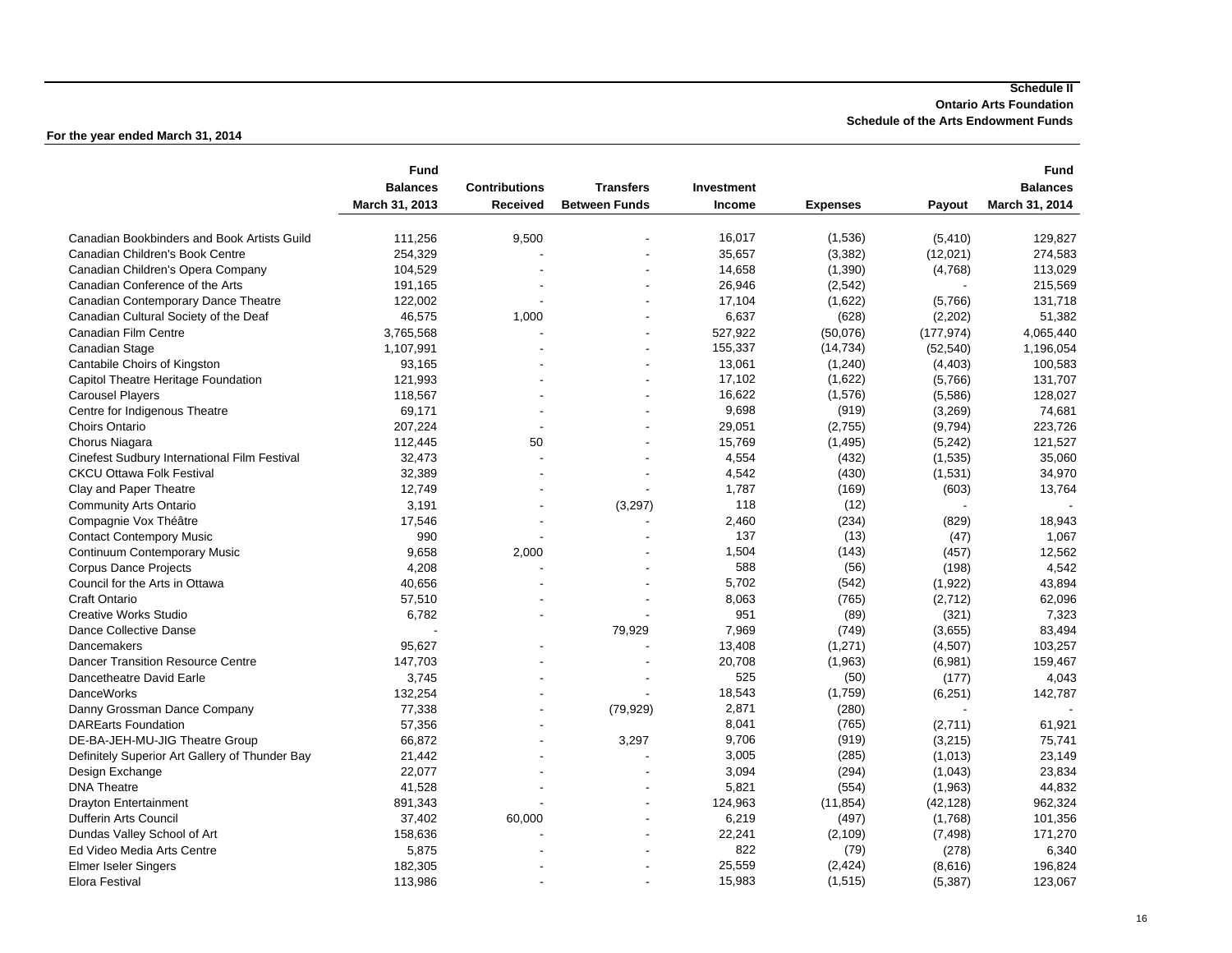#### **Schedule II Ontario Arts Foundation Schedule of the Arts Endowment Funds**

|                                                | <b>Fund</b>     |                      |                      |            |                 |            | <b>Fund</b>     |
|------------------------------------------------|-----------------|----------------------|----------------------|------------|-----------------|------------|-----------------|
|                                                | <b>Balances</b> | <b>Contributions</b> | <b>Transfers</b>     | Investment |                 |            | <b>Balances</b> |
|                                                | March 31, 2013  | Received             | <b>Between Funds</b> | Income     | <b>Expenses</b> | Payout     | March 31, 2014  |
| Canadian Bookbinders and Book Artists Guild    |                 |                      |                      | 16,017     |                 |            |                 |
|                                                | 111,256         | 9,500                |                      | 35,657     | (1,536)         | (5, 410)   | 129,827         |
| Canadian Children's Book Centre                | 254,329         |                      |                      |            | (3, 382)        | (12,021)   | 274,583         |
| Canadian Children's Opera Company              | 104,529         |                      |                      | 14,658     | (1, 390)        | (4,768)    | 113,029         |
| Canadian Conference of the Arts                | 191,165         |                      |                      | 26,946     | (2, 542)        |            | 215,569         |
| Canadian Contemporary Dance Theatre            | 122,002         |                      |                      | 17,104     | (1,622)         | (5,766)    | 131,718         |
| Canadian Cultural Society of the Deaf          | 46,575          | 1,000                |                      | 6,637      | (628)           | (2,202)    | 51,382          |
| Canadian Film Centre                           | 3,765,568       |                      |                      | 527,922    | (50,076)        | (177, 974) | 4,065,440       |
| Canadian Stage                                 | 1,107,991       |                      |                      | 155,337    | (14, 734)       | (52, 540)  | 1,196,054       |
| Cantabile Choirs of Kingston                   | 93,165          |                      |                      | 13,061     | (1,240)         | (4, 403)   | 100,583         |
| Capitol Theatre Heritage Foundation            | 121,993         |                      |                      | 17,102     | (1,622)         | (5,766)    | 131,707         |
| <b>Carousel Players</b>                        | 118,567         |                      |                      | 16,622     | (1,576)         | (5,586)    | 128,027         |
| Centre for Indigenous Theatre                  | 69,171          |                      |                      | 9,698      | (919)           | (3,269)    | 74,681          |
| Choirs Ontario                                 | 207,224         |                      |                      | 29,051     | (2,755)         | (9,794)    | 223,726         |
| Chorus Niagara                                 | 112,445         | 50                   |                      | 15,769     | (1, 495)        | (5,242)    | 121,527         |
| Cinefest Sudbury International Film Festival   | 32,473          |                      |                      | 4,554      | (432)           | (1,535)    | 35,060          |
| <b>CKCU Ottawa Folk Festival</b>               | 32,389          |                      |                      | 4,542      | (430)           | (1,531)    | 34,970          |
| Clay and Paper Theatre                         | 12,749          |                      |                      | 1,787      | (169)           | (603)      | 13,764          |
| <b>Community Arts Ontario</b>                  | 3,191           |                      | (3,297)              | 118        | (12)            |            |                 |
| Compagnie Vox Théâtre                          | 17,546          |                      |                      | 2,460      | (234)           | (829)      | 18,943          |
| <b>Contact Contempory Music</b>                | 990             |                      |                      | 137        | (13)            | (47)       | 1,067           |
| Continuum Contemporary Music                   | 9,658           | 2,000                |                      | 1,504      | (143)           | (457)      | 12,562          |
| <b>Corpus Dance Projects</b>                   | 4,208           |                      |                      | 588        | (56)            | (198)      | 4,542           |
| Council for the Arts in Ottawa                 | 40,656          |                      |                      | 5,702      | (542)           | (1,922)    | 43,894          |
| Craft Ontario                                  | 57,510          |                      |                      | 8,063      | (765)           | (2,712)    | 62,096          |
| <b>Creative Works Studio</b>                   | 6,782           |                      |                      | 951        | (89)            | (321)      | 7,323           |
| Dance Collective Danse                         |                 |                      | 79,929               | 7,969      | (749)           | (3,655)    | 83,494          |
| Dancemakers                                    | 95,627          |                      |                      | 13,408     | (1,271)         | (4, 507)   | 103,257         |
| <b>Dancer Transition Resource Centre</b>       | 147,703         |                      |                      | 20,708     | (1,963)         | (6,981)    | 159,467         |
| Dancetheatre David Earle                       | 3,745           |                      |                      | 525        | (50)            | (177)      | 4,043           |
| <b>DanceWorks</b>                              | 132,254         |                      |                      | 18,543     | (1,759)         | (6, 251)   | 142,787         |
| Danny Grossman Dance Company                   | 77,338          |                      | (79, 929)            | 2,871      | (280)           |            |                 |
| <b>DAREarts Foundation</b>                     | 57,356          |                      |                      | 8,041      | (765)           | (2,711)    | 61,921          |
| DE-BA-JEH-MU-JIG Theatre Group                 | 66,872          |                      | 3,297                | 9,706      | (919)           | (3,215)    | 75,741          |
| Definitely Superior Art Gallery of Thunder Bay | 21,442          |                      |                      | 3,005      | (285)           | (1,013)    | 23,149          |
| Design Exchange                                | 22,077          |                      |                      | 3,094      | (294)           | (1,043)    | 23,834          |
| <b>DNA Theatre</b>                             | 41,528          |                      |                      | 5,821      | (554)           | (1,963)    | 44,832          |
| <b>Drayton Entertainment</b>                   | 891,343         |                      |                      | 124,963    | (11, 854)       | (42, 128)  | 962,324         |
| Dufferin Arts Council                          | 37,402          | 60,000               |                      | 6,219      | (497)           | (1,768)    | 101,356         |
| Dundas Valley School of Art                    | 158,636         |                      |                      | 22,241     | (2, 109)        | (7, 498)   | 171,270         |
| Ed Video Media Arts Centre                     | 5,875           |                      |                      | 822        |                 | (278)      | 6,340           |
|                                                |                 |                      |                      |            | (79)            |            |                 |
| <b>Elmer Iseler Singers</b>                    | 182,305         |                      |                      | 25,559     | (2, 424)        | (8,616)    | 196,824         |
| <b>Elora Festival</b>                          | 113,986         |                      |                      | 15,983     | (1, 515)        | (5, 387)   | 123,067         |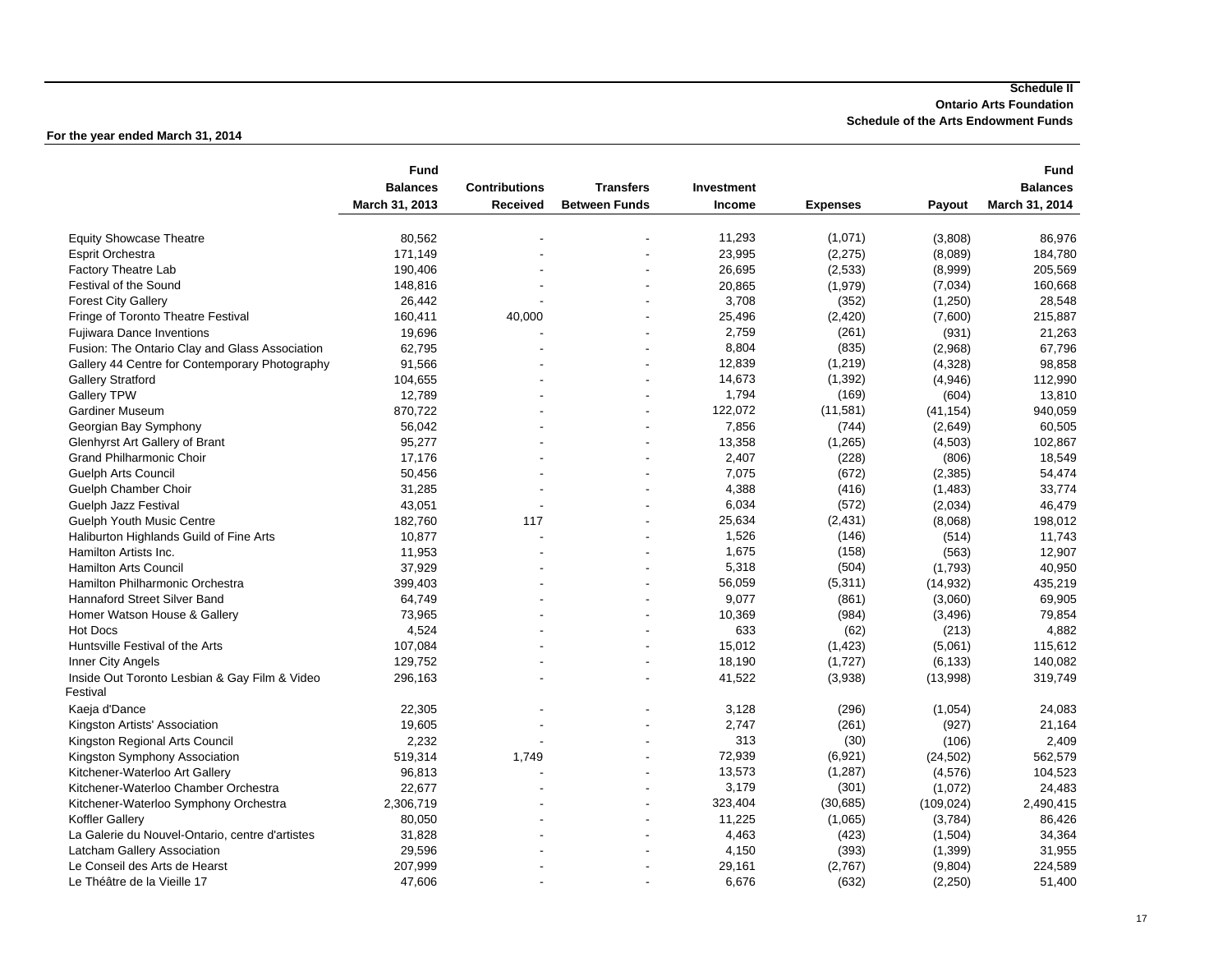#### **Schedule II Ontario Arts Foundation Schedule of the Arts Endowment Funds**

| <b>Balances</b><br><b>Contributions</b><br><b>Transfers</b><br>Investment<br><b>Balances</b><br>March 31, 2013<br><b>Between Funds</b><br>March 31, 2014<br>Received<br><b>Income</b><br><b>Expenses</b><br>Payout<br>11,293<br>(1,071)<br><b>Equity Showcase Theatre</b><br>80,562<br>(3,808)<br>86,976<br>23,995<br>171,149<br>(2, 275)<br>(8,089)<br><b>Esprit Orchestra</b><br>184,780<br>26,695<br>190,406<br>(2,533)<br>205,569<br><b>Factory Theatre Lab</b><br>(8,999)<br>148,816<br>20,865<br>(1,979)<br>Festival of the Sound<br>(7,034)<br>160,668<br>3,708<br>(352)<br><b>Forest City Gallery</b><br>26,442<br>(1,250)<br>28,548<br>Fringe of Toronto Theatre Festival<br>160,411<br>25,496<br>(2, 420)<br>(7,600)<br>215,887<br>40,000<br><b>Fujiwara Dance Inventions</b><br>19,696<br>2,759<br>(261)<br>(931)<br>21,263<br>62,795<br>8,804<br>(835)<br>Fusion: The Ontario Clay and Glass Association<br>(2,968)<br>67,796<br>12,839<br>91,566<br>(1, 219)<br>(4,328)<br>98,858<br>Gallery 44 Centre for Contemporary Photography<br>14,673<br>(1, 392)<br><b>Gallery Stratford</b><br>104,655<br>(4,946)<br>112,990<br>٠<br>1,794<br>(169)<br><b>Gallery TPW</b><br>12,789<br>(604)<br>13,810<br>122,072<br>(11, 581)<br><b>Gardiner Museum</b><br>870,722<br>(41, 154)<br>940,059<br>7,856<br>56.042<br>(744)<br>60,505<br>Georgian Bay Symphony<br>(2,649)<br>95,277<br>13,358<br>(1,265)<br>(4, 503)<br>102,867<br>Glenhyrst Art Gallery of Brant<br>17,176<br><b>Grand Philharmonic Choir</b><br>2,407<br>(228)<br>(806)<br>18,549<br>7,075<br><b>Guelph Arts Council</b><br>50,456<br>(672)<br>(2, 385)<br>54,474<br>4,388<br>31,285<br>(416)<br>33,774<br>Guelph Chamber Choir<br>(1,483)<br>6,034<br>(572)<br>Guelph Jazz Festival<br>43,051<br>(2,034)<br>46,479<br>25,634<br>182,760<br>117<br>(2, 431)<br>(8,068)<br><b>Guelph Youth Music Centre</b><br>198,012<br>1,526<br>10,877<br>(146)<br>Haliburton Highlands Guild of Fine Arts<br>(514)<br>11,743<br>11,953<br>1,675<br>(158)<br>(563)<br>12,907<br>Hamilton Artists Inc.<br><b>Hamilton Arts Council</b><br>37,929<br>5,318<br>(504)<br>(1,793)<br>40,950<br>Hamilton Philharmonic Orchestra<br>399,403<br>56,059<br>(5, 311)<br>(14, 932)<br>435,219<br>Hannaford Street Silver Band<br>64,749<br>9,077<br>(3,060)<br>69,905<br>(861)<br>10,369<br>(984)<br>Homer Watson House & Gallery<br>73,965<br>(3, 496)<br>79,854<br>633<br><b>Hot Docs</b><br>4,524<br>(62)<br>(213)<br>4,882<br>Huntsville Festival of the Arts<br>107,084<br>15,012<br>(1, 423)<br>(5,061)<br>115,612<br>18,190<br>(1,727)<br>129,752<br>(6, 133)<br>140,082<br>Inner City Angels<br>Inside Out Toronto Lesbian & Gay Film & Video<br>296,163<br>41,522<br>(3,938)<br>(13,998)<br>319,749<br>Festival<br>Kaeja d'Dance<br>22,305<br>3,128<br>24,083<br>(296)<br>(1,054)<br>19,605<br>2,747<br>(261)<br>Kingston Artists' Association<br>(927)<br>21,164<br>2,232<br>313<br>(30)<br>(106)<br>2,409<br>Kingston Regional Arts Council<br>72,939<br>519,314<br>(6,921)<br>562,579<br>Kingston Symphony Association<br>1,749<br>(24, 502)<br>13,573<br>(1, 287)<br>Kitchener-Waterloo Art Gallery<br>96,813<br>(4, 576)<br>104,523<br>3,179<br>(301)<br>Kitchener-Waterloo Chamber Orchestra<br>22,677<br>(1,072)<br>24,483<br>323,404<br>Kitchener-Waterloo Symphony Orchestra<br>2,306,719<br>(30, 685)<br>(109, 024)<br>2,490,415<br>11,225<br>(1,065)<br>Koffler Gallery<br>80,050<br>(3,784)<br>86,426<br>La Galerie du Nouvel-Ontario, centre d'artistes<br>31,828<br>4,463<br>(423)<br>(1,504)<br>34,364<br>Latcham Gallery Association<br>29,596<br>4,150<br>(393)<br>(1, 399)<br>31,955<br>207,999<br>Le Conseil des Arts de Hearst<br>29,161<br>(2,767)<br>(9,804)<br>224,589 |                             | <b>Fund</b> |  |       |       |          | <b>Fund</b> |
|----------------------------------------------------------------------------------------------------------------------------------------------------------------------------------------------------------------------------------------------------------------------------------------------------------------------------------------------------------------------------------------------------------------------------------------------------------------------------------------------------------------------------------------------------------------------------------------------------------------------------------------------------------------------------------------------------------------------------------------------------------------------------------------------------------------------------------------------------------------------------------------------------------------------------------------------------------------------------------------------------------------------------------------------------------------------------------------------------------------------------------------------------------------------------------------------------------------------------------------------------------------------------------------------------------------------------------------------------------------------------------------------------------------------------------------------------------------------------------------------------------------------------------------------------------------------------------------------------------------------------------------------------------------------------------------------------------------------------------------------------------------------------------------------------------------------------------------------------------------------------------------------------------------------------------------------------------------------------------------------------------------------------------------------------------------------------------------------------------------------------------------------------------------------------------------------------------------------------------------------------------------------------------------------------------------------------------------------------------------------------------------------------------------------------------------------------------------------------------------------------------------------------------------------------------------------------------------------------------------------------------------------------------------------------------------------------------------------------------------------------------------------------------------------------------------------------------------------------------------------------------------------------------------------------------------------------------------------------------------------------------------------------------------------------------------------------------------------------------------------------------------------------------------------------------------------------------------------------------------------------------------------------------------------------------------------------------------------------------------------------------------------------------------------------------------------------------------------------------------------------------------------------------------------------------------------------------------------------------------------------------------------------------------------------------------------------------------------------------------------------|-----------------------------|-------------|--|-------|-------|----------|-------------|
|                                                                                                                                                                                                                                                                                                                                                                                                                                                                                                                                                                                                                                                                                                                                                                                                                                                                                                                                                                                                                                                                                                                                                                                                                                                                                                                                                                                                                                                                                                                                                                                                                                                                                                                                                                                                                                                                                                                                                                                                                                                                                                                                                                                                                                                                                                                                                                                                                                                                                                                                                                                                                                                                                                                                                                                                                                                                                                                                                                                                                                                                                                                                                                                                                                                                                                                                                                                                                                                                                                                                                                                                                                                                                                                                                    |                             |             |  |       |       |          |             |
|                                                                                                                                                                                                                                                                                                                                                                                                                                                                                                                                                                                                                                                                                                                                                                                                                                                                                                                                                                                                                                                                                                                                                                                                                                                                                                                                                                                                                                                                                                                                                                                                                                                                                                                                                                                                                                                                                                                                                                                                                                                                                                                                                                                                                                                                                                                                                                                                                                                                                                                                                                                                                                                                                                                                                                                                                                                                                                                                                                                                                                                                                                                                                                                                                                                                                                                                                                                                                                                                                                                                                                                                                                                                                                                                                    |                             |             |  |       |       |          |             |
|                                                                                                                                                                                                                                                                                                                                                                                                                                                                                                                                                                                                                                                                                                                                                                                                                                                                                                                                                                                                                                                                                                                                                                                                                                                                                                                                                                                                                                                                                                                                                                                                                                                                                                                                                                                                                                                                                                                                                                                                                                                                                                                                                                                                                                                                                                                                                                                                                                                                                                                                                                                                                                                                                                                                                                                                                                                                                                                                                                                                                                                                                                                                                                                                                                                                                                                                                                                                                                                                                                                                                                                                                                                                                                                                                    |                             |             |  |       |       |          |             |
|                                                                                                                                                                                                                                                                                                                                                                                                                                                                                                                                                                                                                                                                                                                                                                                                                                                                                                                                                                                                                                                                                                                                                                                                                                                                                                                                                                                                                                                                                                                                                                                                                                                                                                                                                                                                                                                                                                                                                                                                                                                                                                                                                                                                                                                                                                                                                                                                                                                                                                                                                                                                                                                                                                                                                                                                                                                                                                                                                                                                                                                                                                                                                                                                                                                                                                                                                                                                                                                                                                                                                                                                                                                                                                                                                    |                             |             |  |       |       |          |             |
|                                                                                                                                                                                                                                                                                                                                                                                                                                                                                                                                                                                                                                                                                                                                                                                                                                                                                                                                                                                                                                                                                                                                                                                                                                                                                                                                                                                                                                                                                                                                                                                                                                                                                                                                                                                                                                                                                                                                                                                                                                                                                                                                                                                                                                                                                                                                                                                                                                                                                                                                                                                                                                                                                                                                                                                                                                                                                                                                                                                                                                                                                                                                                                                                                                                                                                                                                                                                                                                                                                                                                                                                                                                                                                                                                    |                             |             |  |       |       |          |             |
|                                                                                                                                                                                                                                                                                                                                                                                                                                                                                                                                                                                                                                                                                                                                                                                                                                                                                                                                                                                                                                                                                                                                                                                                                                                                                                                                                                                                                                                                                                                                                                                                                                                                                                                                                                                                                                                                                                                                                                                                                                                                                                                                                                                                                                                                                                                                                                                                                                                                                                                                                                                                                                                                                                                                                                                                                                                                                                                                                                                                                                                                                                                                                                                                                                                                                                                                                                                                                                                                                                                                                                                                                                                                                                                                                    |                             |             |  |       |       |          |             |
|                                                                                                                                                                                                                                                                                                                                                                                                                                                                                                                                                                                                                                                                                                                                                                                                                                                                                                                                                                                                                                                                                                                                                                                                                                                                                                                                                                                                                                                                                                                                                                                                                                                                                                                                                                                                                                                                                                                                                                                                                                                                                                                                                                                                                                                                                                                                                                                                                                                                                                                                                                                                                                                                                                                                                                                                                                                                                                                                                                                                                                                                                                                                                                                                                                                                                                                                                                                                                                                                                                                                                                                                                                                                                                                                                    |                             |             |  |       |       |          |             |
|                                                                                                                                                                                                                                                                                                                                                                                                                                                                                                                                                                                                                                                                                                                                                                                                                                                                                                                                                                                                                                                                                                                                                                                                                                                                                                                                                                                                                                                                                                                                                                                                                                                                                                                                                                                                                                                                                                                                                                                                                                                                                                                                                                                                                                                                                                                                                                                                                                                                                                                                                                                                                                                                                                                                                                                                                                                                                                                                                                                                                                                                                                                                                                                                                                                                                                                                                                                                                                                                                                                                                                                                                                                                                                                                                    |                             |             |  |       |       |          |             |
|                                                                                                                                                                                                                                                                                                                                                                                                                                                                                                                                                                                                                                                                                                                                                                                                                                                                                                                                                                                                                                                                                                                                                                                                                                                                                                                                                                                                                                                                                                                                                                                                                                                                                                                                                                                                                                                                                                                                                                                                                                                                                                                                                                                                                                                                                                                                                                                                                                                                                                                                                                                                                                                                                                                                                                                                                                                                                                                                                                                                                                                                                                                                                                                                                                                                                                                                                                                                                                                                                                                                                                                                                                                                                                                                                    |                             |             |  |       |       |          |             |
|                                                                                                                                                                                                                                                                                                                                                                                                                                                                                                                                                                                                                                                                                                                                                                                                                                                                                                                                                                                                                                                                                                                                                                                                                                                                                                                                                                                                                                                                                                                                                                                                                                                                                                                                                                                                                                                                                                                                                                                                                                                                                                                                                                                                                                                                                                                                                                                                                                                                                                                                                                                                                                                                                                                                                                                                                                                                                                                                                                                                                                                                                                                                                                                                                                                                                                                                                                                                                                                                                                                                                                                                                                                                                                                                                    |                             |             |  |       |       |          |             |
|                                                                                                                                                                                                                                                                                                                                                                                                                                                                                                                                                                                                                                                                                                                                                                                                                                                                                                                                                                                                                                                                                                                                                                                                                                                                                                                                                                                                                                                                                                                                                                                                                                                                                                                                                                                                                                                                                                                                                                                                                                                                                                                                                                                                                                                                                                                                                                                                                                                                                                                                                                                                                                                                                                                                                                                                                                                                                                                                                                                                                                                                                                                                                                                                                                                                                                                                                                                                                                                                                                                                                                                                                                                                                                                                                    |                             |             |  |       |       |          |             |
|                                                                                                                                                                                                                                                                                                                                                                                                                                                                                                                                                                                                                                                                                                                                                                                                                                                                                                                                                                                                                                                                                                                                                                                                                                                                                                                                                                                                                                                                                                                                                                                                                                                                                                                                                                                                                                                                                                                                                                                                                                                                                                                                                                                                                                                                                                                                                                                                                                                                                                                                                                                                                                                                                                                                                                                                                                                                                                                                                                                                                                                                                                                                                                                                                                                                                                                                                                                                                                                                                                                                                                                                                                                                                                                                                    |                             |             |  |       |       |          |             |
|                                                                                                                                                                                                                                                                                                                                                                                                                                                                                                                                                                                                                                                                                                                                                                                                                                                                                                                                                                                                                                                                                                                                                                                                                                                                                                                                                                                                                                                                                                                                                                                                                                                                                                                                                                                                                                                                                                                                                                                                                                                                                                                                                                                                                                                                                                                                                                                                                                                                                                                                                                                                                                                                                                                                                                                                                                                                                                                                                                                                                                                                                                                                                                                                                                                                                                                                                                                                                                                                                                                                                                                                                                                                                                                                                    |                             |             |  |       |       |          |             |
|                                                                                                                                                                                                                                                                                                                                                                                                                                                                                                                                                                                                                                                                                                                                                                                                                                                                                                                                                                                                                                                                                                                                                                                                                                                                                                                                                                                                                                                                                                                                                                                                                                                                                                                                                                                                                                                                                                                                                                                                                                                                                                                                                                                                                                                                                                                                                                                                                                                                                                                                                                                                                                                                                                                                                                                                                                                                                                                                                                                                                                                                                                                                                                                                                                                                                                                                                                                                                                                                                                                                                                                                                                                                                                                                                    |                             |             |  |       |       |          |             |
|                                                                                                                                                                                                                                                                                                                                                                                                                                                                                                                                                                                                                                                                                                                                                                                                                                                                                                                                                                                                                                                                                                                                                                                                                                                                                                                                                                                                                                                                                                                                                                                                                                                                                                                                                                                                                                                                                                                                                                                                                                                                                                                                                                                                                                                                                                                                                                                                                                                                                                                                                                                                                                                                                                                                                                                                                                                                                                                                                                                                                                                                                                                                                                                                                                                                                                                                                                                                                                                                                                                                                                                                                                                                                                                                                    |                             |             |  |       |       |          |             |
|                                                                                                                                                                                                                                                                                                                                                                                                                                                                                                                                                                                                                                                                                                                                                                                                                                                                                                                                                                                                                                                                                                                                                                                                                                                                                                                                                                                                                                                                                                                                                                                                                                                                                                                                                                                                                                                                                                                                                                                                                                                                                                                                                                                                                                                                                                                                                                                                                                                                                                                                                                                                                                                                                                                                                                                                                                                                                                                                                                                                                                                                                                                                                                                                                                                                                                                                                                                                                                                                                                                                                                                                                                                                                                                                                    |                             |             |  |       |       |          |             |
|                                                                                                                                                                                                                                                                                                                                                                                                                                                                                                                                                                                                                                                                                                                                                                                                                                                                                                                                                                                                                                                                                                                                                                                                                                                                                                                                                                                                                                                                                                                                                                                                                                                                                                                                                                                                                                                                                                                                                                                                                                                                                                                                                                                                                                                                                                                                                                                                                                                                                                                                                                                                                                                                                                                                                                                                                                                                                                                                                                                                                                                                                                                                                                                                                                                                                                                                                                                                                                                                                                                                                                                                                                                                                                                                                    |                             |             |  |       |       |          |             |
|                                                                                                                                                                                                                                                                                                                                                                                                                                                                                                                                                                                                                                                                                                                                                                                                                                                                                                                                                                                                                                                                                                                                                                                                                                                                                                                                                                                                                                                                                                                                                                                                                                                                                                                                                                                                                                                                                                                                                                                                                                                                                                                                                                                                                                                                                                                                                                                                                                                                                                                                                                                                                                                                                                                                                                                                                                                                                                                                                                                                                                                                                                                                                                                                                                                                                                                                                                                                                                                                                                                                                                                                                                                                                                                                                    |                             |             |  |       |       |          |             |
|                                                                                                                                                                                                                                                                                                                                                                                                                                                                                                                                                                                                                                                                                                                                                                                                                                                                                                                                                                                                                                                                                                                                                                                                                                                                                                                                                                                                                                                                                                                                                                                                                                                                                                                                                                                                                                                                                                                                                                                                                                                                                                                                                                                                                                                                                                                                                                                                                                                                                                                                                                                                                                                                                                                                                                                                                                                                                                                                                                                                                                                                                                                                                                                                                                                                                                                                                                                                                                                                                                                                                                                                                                                                                                                                                    |                             |             |  |       |       |          |             |
|                                                                                                                                                                                                                                                                                                                                                                                                                                                                                                                                                                                                                                                                                                                                                                                                                                                                                                                                                                                                                                                                                                                                                                                                                                                                                                                                                                                                                                                                                                                                                                                                                                                                                                                                                                                                                                                                                                                                                                                                                                                                                                                                                                                                                                                                                                                                                                                                                                                                                                                                                                                                                                                                                                                                                                                                                                                                                                                                                                                                                                                                                                                                                                                                                                                                                                                                                                                                                                                                                                                                                                                                                                                                                                                                                    |                             |             |  |       |       |          |             |
|                                                                                                                                                                                                                                                                                                                                                                                                                                                                                                                                                                                                                                                                                                                                                                                                                                                                                                                                                                                                                                                                                                                                                                                                                                                                                                                                                                                                                                                                                                                                                                                                                                                                                                                                                                                                                                                                                                                                                                                                                                                                                                                                                                                                                                                                                                                                                                                                                                                                                                                                                                                                                                                                                                                                                                                                                                                                                                                                                                                                                                                                                                                                                                                                                                                                                                                                                                                                                                                                                                                                                                                                                                                                                                                                                    |                             |             |  |       |       |          |             |
|                                                                                                                                                                                                                                                                                                                                                                                                                                                                                                                                                                                                                                                                                                                                                                                                                                                                                                                                                                                                                                                                                                                                                                                                                                                                                                                                                                                                                                                                                                                                                                                                                                                                                                                                                                                                                                                                                                                                                                                                                                                                                                                                                                                                                                                                                                                                                                                                                                                                                                                                                                                                                                                                                                                                                                                                                                                                                                                                                                                                                                                                                                                                                                                                                                                                                                                                                                                                                                                                                                                                                                                                                                                                                                                                                    |                             |             |  |       |       |          |             |
|                                                                                                                                                                                                                                                                                                                                                                                                                                                                                                                                                                                                                                                                                                                                                                                                                                                                                                                                                                                                                                                                                                                                                                                                                                                                                                                                                                                                                                                                                                                                                                                                                                                                                                                                                                                                                                                                                                                                                                                                                                                                                                                                                                                                                                                                                                                                                                                                                                                                                                                                                                                                                                                                                                                                                                                                                                                                                                                                                                                                                                                                                                                                                                                                                                                                                                                                                                                                                                                                                                                                                                                                                                                                                                                                                    |                             |             |  |       |       |          |             |
|                                                                                                                                                                                                                                                                                                                                                                                                                                                                                                                                                                                                                                                                                                                                                                                                                                                                                                                                                                                                                                                                                                                                                                                                                                                                                                                                                                                                                                                                                                                                                                                                                                                                                                                                                                                                                                                                                                                                                                                                                                                                                                                                                                                                                                                                                                                                                                                                                                                                                                                                                                                                                                                                                                                                                                                                                                                                                                                                                                                                                                                                                                                                                                                                                                                                                                                                                                                                                                                                                                                                                                                                                                                                                                                                                    |                             |             |  |       |       |          |             |
|                                                                                                                                                                                                                                                                                                                                                                                                                                                                                                                                                                                                                                                                                                                                                                                                                                                                                                                                                                                                                                                                                                                                                                                                                                                                                                                                                                                                                                                                                                                                                                                                                                                                                                                                                                                                                                                                                                                                                                                                                                                                                                                                                                                                                                                                                                                                                                                                                                                                                                                                                                                                                                                                                                                                                                                                                                                                                                                                                                                                                                                                                                                                                                                                                                                                                                                                                                                                                                                                                                                                                                                                                                                                                                                                                    |                             |             |  |       |       |          |             |
|                                                                                                                                                                                                                                                                                                                                                                                                                                                                                                                                                                                                                                                                                                                                                                                                                                                                                                                                                                                                                                                                                                                                                                                                                                                                                                                                                                                                                                                                                                                                                                                                                                                                                                                                                                                                                                                                                                                                                                                                                                                                                                                                                                                                                                                                                                                                                                                                                                                                                                                                                                                                                                                                                                                                                                                                                                                                                                                                                                                                                                                                                                                                                                                                                                                                                                                                                                                                                                                                                                                                                                                                                                                                                                                                                    |                             |             |  |       |       |          |             |
|                                                                                                                                                                                                                                                                                                                                                                                                                                                                                                                                                                                                                                                                                                                                                                                                                                                                                                                                                                                                                                                                                                                                                                                                                                                                                                                                                                                                                                                                                                                                                                                                                                                                                                                                                                                                                                                                                                                                                                                                                                                                                                                                                                                                                                                                                                                                                                                                                                                                                                                                                                                                                                                                                                                                                                                                                                                                                                                                                                                                                                                                                                                                                                                                                                                                                                                                                                                                                                                                                                                                                                                                                                                                                                                                                    |                             |             |  |       |       |          |             |
|                                                                                                                                                                                                                                                                                                                                                                                                                                                                                                                                                                                                                                                                                                                                                                                                                                                                                                                                                                                                                                                                                                                                                                                                                                                                                                                                                                                                                                                                                                                                                                                                                                                                                                                                                                                                                                                                                                                                                                                                                                                                                                                                                                                                                                                                                                                                                                                                                                                                                                                                                                                                                                                                                                                                                                                                                                                                                                                                                                                                                                                                                                                                                                                                                                                                                                                                                                                                                                                                                                                                                                                                                                                                                                                                                    |                             |             |  |       |       |          |             |
|                                                                                                                                                                                                                                                                                                                                                                                                                                                                                                                                                                                                                                                                                                                                                                                                                                                                                                                                                                                                                                                                                                                                                                                                                                                                                                                                                                                                                                                                                                                                                                                                                                                                                                                                                                                                                                                                                                                                                                                                                                                                                                                                                                                                                                                                                                                                                                                                                                                                                                                                                                                                                                                                                                                                                                                                                                                                                                                                                                                                                                                                                                                                                                                                                                                                                                                                                                                                                                                                                                                                                                                                                                                                                                                                                    |                             |             |  |       |       |          |             |
|                                                                                                                                                                                                                                                                                                                                                                                                                                                                                                                                                                                                                                                                                                                                                                                                                                                                                                                                                                                                                                                                                                                                                                                                                                                                                                                                                                                                                                                                                                                                                                                                                                                                                                                                                                                                                                                                                                                                                                                                                                                                                                                                                                                                                                                                                                                                                                                                                                                                                                                                                                                                                                                                                                                                                                                                                                                                                                                                                                                                                                                                                                                                                                                                                                                                                                                                                                                                                                                                                                                                                                                                                                                                                                                                                    |                             |             |  |       |       |          |             |
|                                                                                                                                                                                                                                                                                                                                                                                                                                                                                                                                                                                                                                                                                                                                                                                                                                                                                                                                                                                                                                                                                                                                                                                                                                                                                                                                                                                                                                                                                                                                                                                                                                                                                                                                                                                                                                                                                                                                                                                                                                                                                                                                                                                                                                                                                                                                                                                                                                                                                                                                                                                                                                                                                                                                                                                                                                                                                                                                                                                                                                                                                                                                                                                                                                                                                                                                                                                                                                                                                                                                                                                                                                                                                                                                                    |                             |             |  |       |       |          |             |
|                                                                                                                                                                                                                                                                                                                                                                                                                                                                                                                                                                                                                                                                                                                                                                                                                                                                                                                                                                                                                                                                                                                                                                                                                                                                                                                                                                                                                                                                                                                                                                                                                                                                                                                                                                                                                                                                                                                                                                                                                                                                                                                                                                                                                                                                                                                                                                                                                                                                                                                                                                                                                                                                                                                                                                                                                                                                                                                                                                                                                                                                                                                                                                                                                                                                                                                                                                                                                                                                                                                                                                                                                                                                                                                                                    |                             |             |  |       |       |          |             |
|                                                                                                                                                                                                                                                                                                                                                                                                                                                                                                                                                                                                                                                                                                                                                                                                                                                                                                                                                                                                                                                                                                                                                                                                                                                                                                                                                                                                                                                                                                                                                                                                                                                                                                                                                                                                                                                                                                                                                                                                                                                                                                                                                                                                                                                                                                                                                                                                                                                                                                                                                                                                                                                                                                                                                                                                                                                                                                                                                                                                                                                                                                                                                                                                                                                                                                                                                                                                                                                                                                                                                                                                                                                                                                                                                    |                             |             |  |       |       |          |             |
|                                                                                                                                                                                                                                                                                                                                                                                                                                                                                                                                                                                                                                                                                                                                                                                                                                                                                                                                                                                                                                                                                                                                                                                                                                                                                                                                                                                                                                                                                                                                                                                                                                                                                                                                                                                                                                                                                                                                                                                                                                                                                                                                                                                                                                                                                                                                                                                                                                                                                                                                                                                                                                                                                                                                                                                                                                                                                                                                                                                                                                                                                                                                                                                                                                                                                                                                                                                                                                                                                                                                                                                                                                                                                                                                                    |                             |             |  |       |       |          |             |
|                                                                                                                                                                                                                                                                                                                                                                                                                                                                                                                                                                                                                                                                                                                                                                                                                                                                                                                                                                                                                                                                                                                                                                                                                                                                                                                                                                                                                                                                                                                                                                                                                                                                                                                                                                                                                                                                                                                                                                                                                                                                                                                                                                                                                                                                                                                                                                                                                                                                                                                                                                                                                                                                                                                                                                                                                                                                                                                                                                                                                                                                                                                                                                                                                                                                                                                                                                                                                                                                                                                                                                                                                                                                                                                                                    |                             |             |  |       |       |          |             |
|                                                                                                                                                                                                                                                                                                                                                                                                                                                                                                                                                                                                                                                                                                                                                                                                                                                                                                                                                                                                                                                                                                                                                                                                                                                                                                                                                                                                                                                                                                                                                                                                                                                                                                                                                                                                                                                                                                                                                                                                                                                                                                                                                                                                                                                                                                                                                                                                                                                                                                                                                                                                                                                                                                                                                                                                                                                                                                                                                                                                                                                                                                                                                                                                                                                                                                                                                                                                                                                                                                                                                                                                                                                                                                                                                    |                             |             |  |       |       |          |             |
|                                                                                                                                                                                                                                                                                                                                                                                                                                                                                                                                                                                                                                                                                                                                                                                                                                                                                                                                                                                                                                                                                                                                                                                                                                                                                                                                                                                                                                                                                                                                                                                                                                                                                                                                                                                                                                                                                                                                                                                                                                                                                                                                                                                                                                                                                                                                                                                                                                                                                                                                                                                                                                                                                                                                                                                                                                                                                                                                                                                                                                                                                                                                                                                                                                                                                                                                                                                                                                                                                                                                                                                                                                                                                                                                                    |                             |             |  |       |       |          |             |
|                                                                                                                                                                                                                                                                                                                                                                                                                                                                                                                                                                                                                                                                                                                                                                                                                                                                                                                                                                                                                                                                                                                                                                                                                                                                                                                                                                                                                                                                                                                                                                                                                                                                                                                                                                                                                                                                                                                                                                                                                                                                                                                                                                                                                                                                                                                                                                                                                                                                                                                                                                                                                                                                                                                                                                                                                                                                                                                                                                                                                                                                                                                                                                                                                                                                                                                                                                                                                                                                                                                                                                                                                                                                                                                                                    |                             |             |  |       |       |          |             |
|                                                                                                                                                                                                                                                                                                                                                                                                                                                                                                                                                                                                                                                                                                                                                                                                                                                                                                                                                                                                                                                                                                                                                                                                                                                                                                                                                                                                                                                                                                                                                                                                                                                                                                                                                                                                                                                                                                                                                                                                                                                                                                                                                                                                                                                                                                                                                                                                                                                                                                                                                                                                                                                                                                                                                                                                                                                                                                                                                                                                                                                                                                                                                                                                                                                                                                                                                                                                                                                                                                                                                                                                                                                                                                                                                    |                             |             |  |       |       |          |             |
|                                                                                                                                                                                                                                                                                                                                                                                                                                                                                                                                                                                                                                                                                                                                                                                                                                                                                                                                                                                                                                                                                                                                                                                                                                                                                                                                                                                                                                                                                                                                                                                                                                                                                                                                                                                                                                                                                                                                                                                                                                                                                                                                                                                                                                                                                                                                                                                                                                                                                                                                                                                                                                                                                                                                                                                                                                                                                                                                                                                                                                                                                                                                                                                                                                                                                                                                                                                                                                                                                                                                                                                                                                                                                                                                                    |                             |             |  |       |       |          |             |
|                                                                                                                                                                                                                                                                                                                                                                                                                                                                                                                                                                                                                                                                                                                                                                                                                                                                                                                                                                                                                                                                                                                                                                                                                                                                                                                                                                                                                                                                                                                                                                                                                                                                                                                                                                                                                                                                                                                                                                                                                                                                                                                                                                                                                                                                                                                                                                                                                                                                                                                                                                                                                                                                                                                                                                                                                                                                                                                                                                                                                                                                                                                                                                                                                                                                                                                                                                                                                                                                                                                                                                                                                                                                                                                                                    |                             |             |  |       |       |          |             |
|                                                                                                                                                                                                                                                                                                                                                                                                                                                                                                                                                                                                                                                                                                                                                                                                                                                                                                                                                                                                                                                                                                                                                                                                                                                                                                                                                                                                                                                                                                                                                                                                                                                                                                                                                                                                                                                                                                                                                                                                                                                                                                                                                                                                                                                                                                                                                                                                                                                                                                                                                                                                                                                                                                                                                                                                                                                                                                                                                                                                                                                                                                                                                                                                                                                                                                                                                                                                                                                                                                                                                                                                                                                                                                                                                    |                             |             |  |       |       |          |             |
|                                                                                                                                                                                                                                                                                                                                                                                                                                                                                                                                                                                                                                                                                                                                                                                                                                                                                                                                                                                                                                                                                                                                                                                                                                                                                                                                                                                                                                                                                                                                                                                                                                                                                                                                                                                                                                                                                                                                                                                                                                                                                                                                                                                                                                                                                                                                                                                                                                                                                                                                                                                                                                                                                                                                                                                                                                                                                                                                                                                                                                                                                                                                                                                                                                                                                                                                                                                                                                                                                                                                                                                                                                                                                                                                                    |                             |             |  |       |       |          |             |
|                                                                                                                                                                                                                                                                                                                                                                                                                                                                                                                                                                                                                                                                                                                                                                                                                                                                                                                                                                                                                                                                                                                                                                                                                                                                                                                                                                                                                                                                                                                                                                                                                                                                                                                                                                                                                                                                                                                                                                                                                                                                                                                                                                                                                                                                                                                                                                                                                                                                                                                                                                                                                                                                                                                                                                                                                                                                                                                                                                                                                                                                                                                                                                                                                                                                                                                                                                                                                                                                                                                                                                                                                                                                                                                                                    |                             |             |  |       |       |          |             |
|                                                                                                                                                                                                                                                                                                                                                                                                                                                                                                                                                                                                                                                                                                                                                                                                                                                                                                                                                                                                                                                                                                                                                                                                                                                                                                                                                                                                                                                                                                                                                                                                                                                                                                                                                                                                                                                                                                                                                                                                                                                                                                                                                                                                                                                                                                                                                                                                                                                                                                                                                                                                                                                                                                                                                                                                                                                                                                                                                                                                                                                                                                                                                                                                                                                                                                                                                                                                                                                                                                                                                                                                                                                                                                                                                    | Le Théâtre de la Vieille 17 | 47,606      |  | 6,676 | (632) | (2, 250) | 51.400      |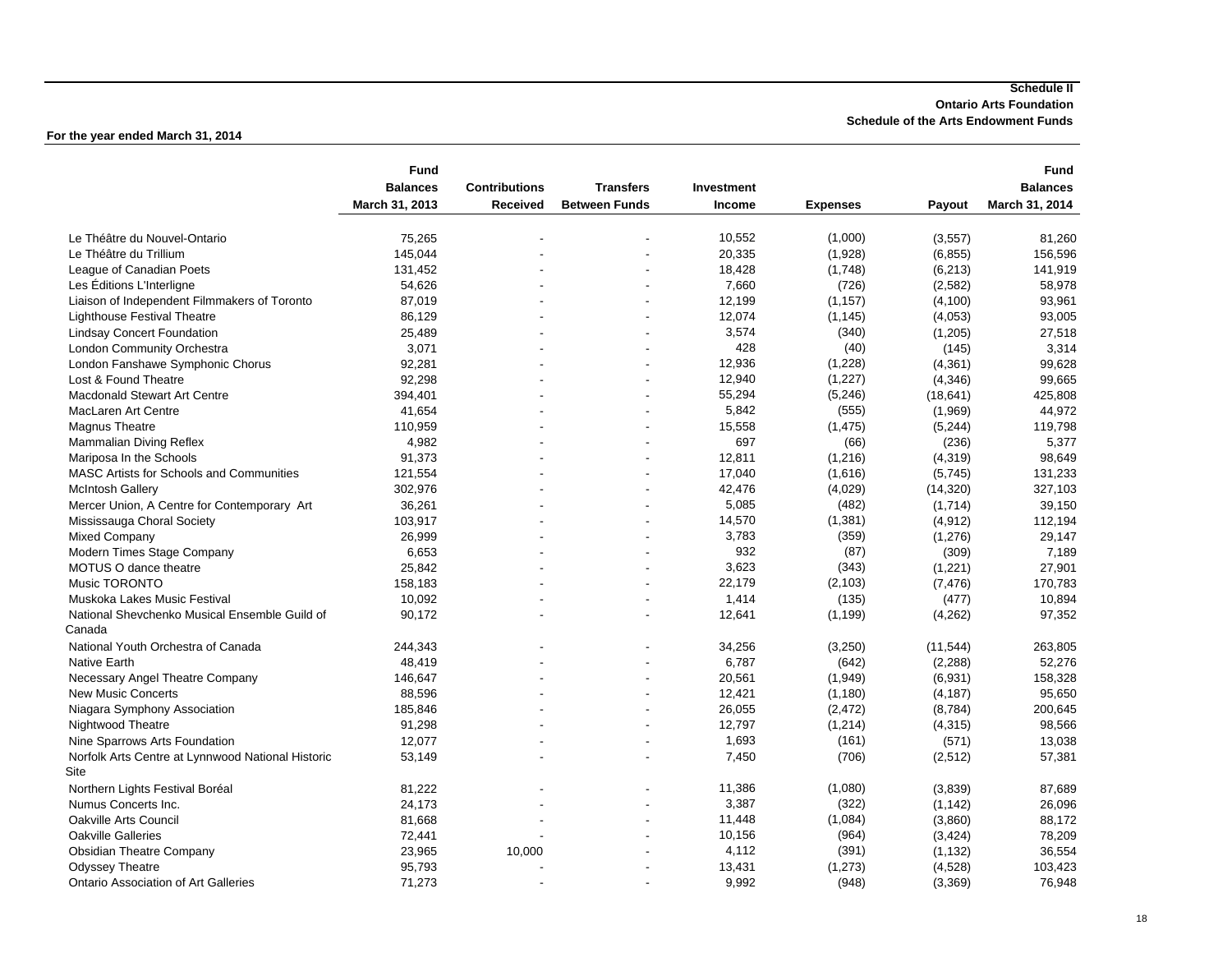#### **Schedule II Ontario Arts Foundation Schedule of the Arts Endowment Funds**

|                                                         | <b>Fund</b>     |                          |                      |            |                 |           | <b>Fund</b>     |
|---------------------------------------------------------|-----------------|--------------------------|----------------------|------------|-----------------|-----------|-----------------|
|                                                         | <b>Balances</b> | <b>Contributions</b>     | <b>Transfers</b>     | Investment |                 |           | <b>Balances</b> |
|                                                         | March 31, 2013  | Received                 | <b>Between Funds</b> | Income     | <b>Expenses</b> | Payout    | March 31, 2014  |
| Le Théâtre du Nouvel-Ontario                            | 75,265          |                          |                      | 10,552     | (1,000)         | (3, 557)  | 81,260          |
| Le Théâtre du Trillium                                  | 145,044         |                          |                      | 20,335     | (1,928)         | (6, 855)  | 156,596         |
| League of Canadian Poets                                | 131,452         |                          |                      | 18,428     | (1,748)         | (6, 213)  | 141,919         |
| Les Éditions L'Interligne                               | 54,626          |                          | ٠                    | 7,660      | (726)           | (2, 582)  | 58.978          |
| Liaison of Independent Filmmakers of Toronto            | 87,019          |                          |                      | 12,199     | (1, 157)        | (4, 100)  | 93,961          |
| <b>Lighthouse Festival Theatre</b>                      | 86,129          |                          |                      | 12,074     | (1, 145)        | (4,053)   | 93,005          |
| <b>Lindsay Concert Foundation</b>                       | 25,489          |                          | ٠                    | 3,574      | (340)           | (1,205)   | 27,518          |
| London Community Orchestra                              | 3,071           |                          |                      | 428        | (40)            | (145)     | 3,314           |
| London Fanshawe Symphonic Chorus                        | 92,281          |                          |                      | 12,936     | (1,228)         | (4,361)   | 99,628          |
| Lost & Found Theatre                                    | 92,298          |                          |                      | 12,940     | (1,227)         | (4, 346)  | 99,665          |
| <b>Macdonald Stewart Art Centre</b>                     | 394,401         |                          |                      | 55,294     | (5,246)         | (18, 641) | 425,808         |
| MacLaren Art Centre                                     | 41,654          |                          | ÷,                   | 5,842      | (555)           | (1,969)   | 44,972          |
| Magnus Theatre                                          | 110,959         |                          | ٠                    | 15,558     | (1, 475)        | (5, 244)  | 119,798         |
| Mammalian Diving Reflex                                 | 4,982           |                          |                      | 697        | (66)            | (236)     | 5,377           |
| Mariposa In the Schools                                 | 91,373          |                          |                      | 12,811     | (1,216)         | (4,319)   | 98,649          |
| <b>MASC Artists for Schools and Communities</b>         | 121,554         | ÷,                       | ÷,                   | 17,040     | (1,616)         | (5,745)   | 131,233         |
| <b>McIntosh Gallery</b>                                 | 302,976         |                          |                      | 42,476     | (4,029)         | (14, 320) | 327,103         |
| Mercer Union, A Centre for Contemporary Art             | 36,261          |                          | $\blacksquare$       | 5,085      | (482)           | (1,714)   | 39,150          |
| Mississauga Choral Society                              | 103,917         |                          | ٠                    | 14,570     | (1, 381)        | (4, 912)  | 112,194         |
| <b>Mixed Company</b>                                    | 26,999          |                          |                      | 3,783      | (359)           | (1,276)   | 29,147          |
| Modern Times Stage Company                              | 6,653           | $\overline{a}$           | ٠                    | 932        | (87)            | (309)     | 7,189           |
| <b>MOTUS O dance theatre</b>                            | 25,842          |                          |                      | 3,623      | (343)           | (1,221)   | 27,901          |
| <b>Music TORONTO</b>                                    | 158,183         |                          |                      | 22,179     | (2, 103)        | (7, 476)  | 170,783         |
| Muskoka Lakes Music Festival                            | 10,092          |                          | ٠                    | 1,414      | (135)           | (477)     | 10,894          |
| National Shevchenko Musical Ensemble Guild of<br>Canada | 90,172          |                          |                      | 12,641     | (1, 199)        | (4,262)   | 97,352          |
| National Youth Orchestra of Canada                      | 244,343         |                          |                      | 34,256     | (3,250)         | (11, 544) | 263,805         |
| Native Earth                                            | 48,419          |                          |                      | 6,787      | (642)           | (2, 288)  | 52,276          |
| Necessary Angel Theatre Company                         | 146,647         | ÷.                       | ÷,                   | 20,561     | (1,949)         | (6,931)   | 158,328         |
| <b>New Music Concerts</b>                               | 88,596          |                          |                      | 12,421     | (1, 180)        | (4, 187)  | 95,650          |
| Niagara Symphony Association                            | 185,846         |                          | ÷,                   | 26,055     | (2, 472)        | (8,784)   | 200,645         |
| Nightwood Theatre                                       | 91,298          |                          |                      | 12,797     | (1, 214)        | (4, 315)  | 98,566          |
| Nine Sparrows Arts Foundation                           | 12,077          |                          |                      | 1,693      | (161)           | (571)     | 13,038          |
| Norfolk Arts Centre at Lynnwood National Historic       | 53,149          |                          |                      | 7,450      | (706)           | (2,512)   | 57,381          |
| Site                                                    |                 |                          |                      |            |                 |           |                 |
| Northern Lights Festival Boréal                         | 81,222          |                          |                      | 11,386     | (1,080)         | (3,839)   | 87,689          |
| Numus Concerts Inc.                                     | 24,173          |                          | ÷                    | 3,387      | (322)           | (1, 142)  | 26,096          |
| Oakville Arts Council                                   | 81,668          | $\overline{\phantom{a}}$ | ٠                    | 11,448     | (1,084)         | (3,860)   | 88,172          |
| <b>Oakville Galleries</b>                               | 72,441          |                          |                      | 10,156     | (964)           | (3, 424)  | 78,209          |
| <b>Obsidian Theatre Company</b>                         | 23,965          | 10,000                   | ÷                    | 4,112      | (391)           | (1, 132)  | 36,554          |
| <b>Odyssey Theatre</b>                                  | 95,793          |                          |                      | 13,431     | (1, 273)        | (4,528)   | 103,423         |
| <b>Ontario Association of Art Galleries</b>             | 71,273          |                          |                      | 9,992      | (948)           | (3,369)   | 76,948          |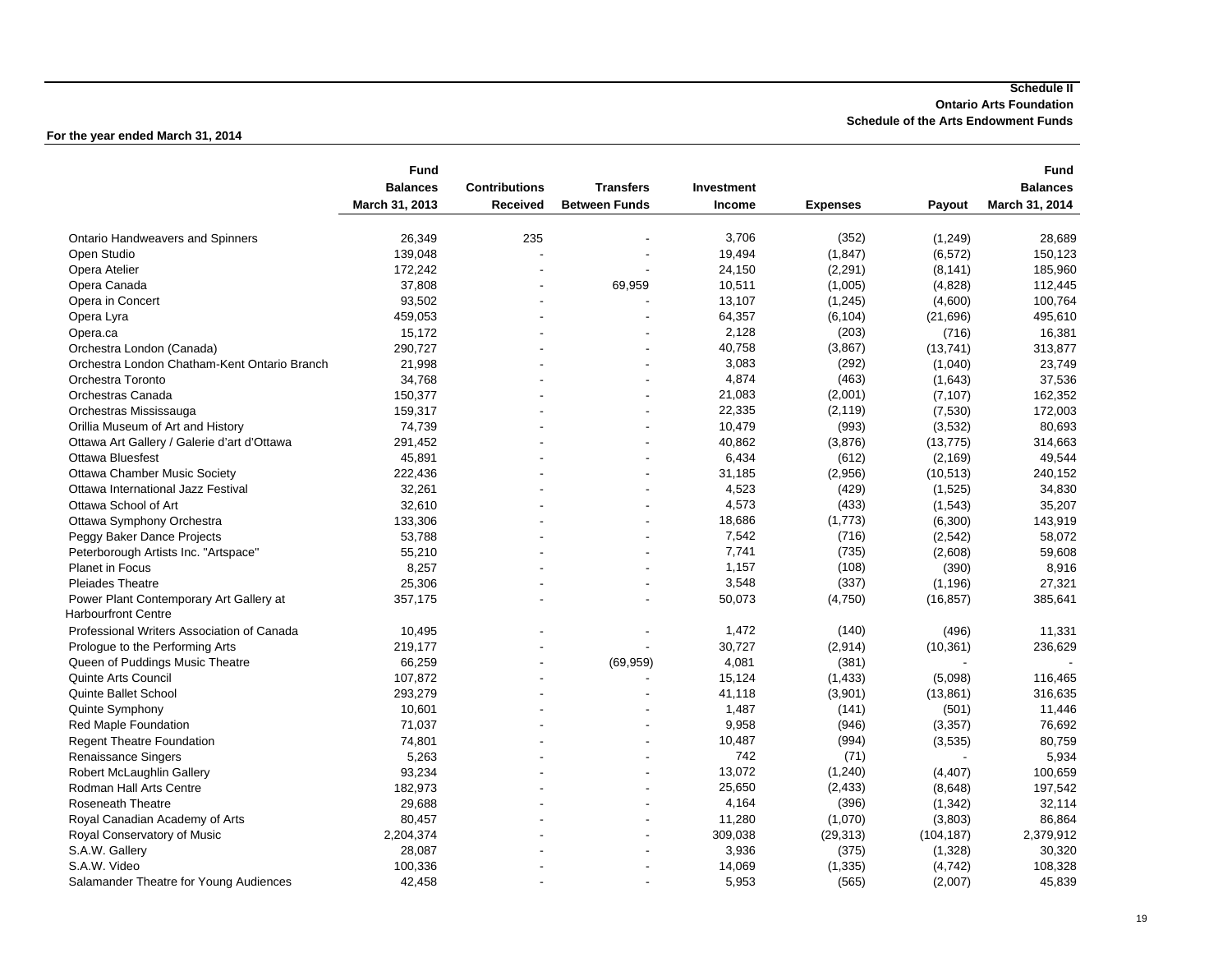**For the year ended March 31, 2014**

|                                              | <b>Fund</b>     |                      |                      |               |                 |            | Fund            |
|----------------------------------------------|-----------------|----------------------|----------------------|---------------|-----------------|------------|-----------------|
|                                              | <b>Balances</b> | <b>Contributions</b> | <b>Transfers</b>     | Investment    |                 |            | <b>Balances</b> |
|                                              | March 31, 2013  | Received             | <b>Between Funds</b> | <b>Income</b> | <b>Expenses</b> | Payout     | March 31, 2014  |
|                                              |                 |                      |                      |               |                 |            |                 |
| <b>Ontario Handweavers and Spinners</b>      | 26,349          | 235                  |                      | 3,706         | (352)           | (1,249)    | 28,689          |
| Open Studio                                  | 139,048         |                      |                      | 19,494        | (1, 847)        | (6, 572)   | 150,123         |
| Opera Atelier                                | 172,242         |                      |                      | 24,150        | (2, 291)        | (8, 141)   | 185,960         |
| Opera Canada                                 | 37,808          |                      | 69,959               | 10,511        | (1,005)         | (4,828)    | 112,445         |
| Opera in Concert                             | 93,502          |                      |                      | 13,107        | (1, 245)        | (4,600)    | 100,764         |
| Opera Lyra                                   | 459,053         |                      |                      | 64,357        | (6, 104)        | (21, 696)  | 495,610         |
| Opera.ca                                     | 15,172          |                      |                      | 2,128         | (203)           | (716)      | 16,381          |
| Orchestra London (Canada)                    | 290,727         |                      |                      | 40,758        | (3,867)         | (13,741)   | 313,877         |
| Orchestra London Chatham-Kent Ontario Branch | 21,998          |                      |                      | 3,083         | (292)           | (1,040)    | 23,749          |
| Orchestra Toronto                            | 34,768          |                      |                      | 4,874         | (463)           | (1,643)    | 37,536          |
| Orchestras Canada                            | 150,377         |                      |                      | 21,083        | (2,001)         | (7, 107)   | 162,352         |
| Orchestras Mississauga                       | 159,317         |                      |                      | 22,335        | (2, 119)        | (7,530)    | 172,003         |
| Orillia Museum of Art and History            | 74,739          |                      |                      | 10,479        | (993)           | (3,532)    | 80,693          |
| Ottawa Art Gallery / Galerie d'art d'Ottawa  | 291,452         |                      |                      | 40,862        | (3,876)         | (13, 775)  | 314,663         |
| <b>Ottawa Bluesfest</b>                      | 45,891          |                      |                      | 6,434         | (612)           | (2, 169)   | 49,544          |
| <b>Ottawa Chamber Music Society</b>          | 222,436         |                      |                      | 31,185        | (2,956)         | (10, 513)  | 240,152         |
| Ottawa International Jazz Festival           | 32,261          |                      |                      | 4,523         | (429)           | (1,525)    | 34,830          |
| Ottawa School of Art                         | 32,610          |                      |                      | 4,573         | (433)           | (1,543)    | 35,207          |
| Ottawa Symphony Orchestra                    | 133,306         |                      |                      | 18,686        | (1,773)         | (6,300)    | 143,919         |
| Peggy Baker Dance Projects                   | 53,788          |                      |                      | 7,542         | (716)           | (2, 542)   | 58,072          |
| Peterborough Artists Inc. "Artspace"         | 55,210          |                      |                      | 7,741         | (735)           | (2,608)    | 59,608          |
| <b>Planet in Focus</b>                       | 8,257           |                      |                      | 1,157         | (108)           | (390)      | 8,916           |
| <b>Pleiades Theatre</b>                      | 25,306          |                      |                      | 3,548         | (337)           | (1, 196)   | 27,321          |
| Power Plant Contemporary Art Gallery at      | 357,175         |                      |                      | 50,073        | (4,750)         | (16, 857)  | 385,641         |
| <b>Harbourfront Centre</b>                   |                 |                      |                      |               |                 |            |                 |
| Professional Writers Association of Canada   | 10,495          |                      |                      | 1,472         | (140)           | (496)      | 11,331          |
| Prologue to the Performing Arts              | 219,177         |                      |                      | 30,727        | (2,914)         | (10, 361)  | 236,629         |
| Queen of Puddings Music Theatre              | 66,259          |                      | (69, 959)            | 4,081         | (381)           |            |                 |
| Quinte Arts Council                          | 107,872         | ÷                    |                      | 15,124        | (1, 433)        | (5,098)    | 116,465         |
| Quinte Ballet School                         | 293,279         |                      |                      | 41,118        | (3,901)         | (13, 861)  | 316,635         |
| Quinte Symphony                              | 10,601          |                      |                      | 1,487         | (141)           | (501)      | 11,446          |
| Red Maple Foundation                         | 71,037          |                      |                      | 9,958         | (946)           | (3, 357)   | 76,692          |
| <b>Regent Theatre Foundation</b>             | 74,801          |                      |                      | 10,487        | (994)           | (3,535)    | 80,759          |
| Renaissance Singers                          | 5,263           |                      |                      | 742           | (71)            |            | 5,934           |
| Robert McLaughlin Gallery                    | 93,234          |                      |                      | 13,072        | (1, 240)        | (4, 407)   | 100,659         |
| Rodman Hall Arts Centre                      | 182,973         |                      |                      | 25,650        | (2, 433)        | (8,648)    | 197,542         |
| Roseneath Theatre                            | 29,688          |                      |                      | 4,164         | (396)           | (1, 342)   | 32,114          |
| Royal Canadian Academy of Arts               | 80,457          |                      |                      | 11,280        | (1,070)         | (3,803)    | 86,864          |
| Royal Conservatory of Music                  | 2,204,374       |                      |                      | 309,038       | (29, 313)       | (104, 187) | 2,379,912       |
| S.A.W. Gallery                               | 28,087          |                      |                      | 3,936         | (375)           | (1,328)    | 30,320          |
| S.A.W. Video                                 | 100,336         |                      |                      | 14,069        | (1, 335)        | (4, 742)   | 108,328         |
| Salamander Theatre for Young Audiences       | 42.458          |                      |                      | 5,953         | (565)           | (2,007)    | 45,839          |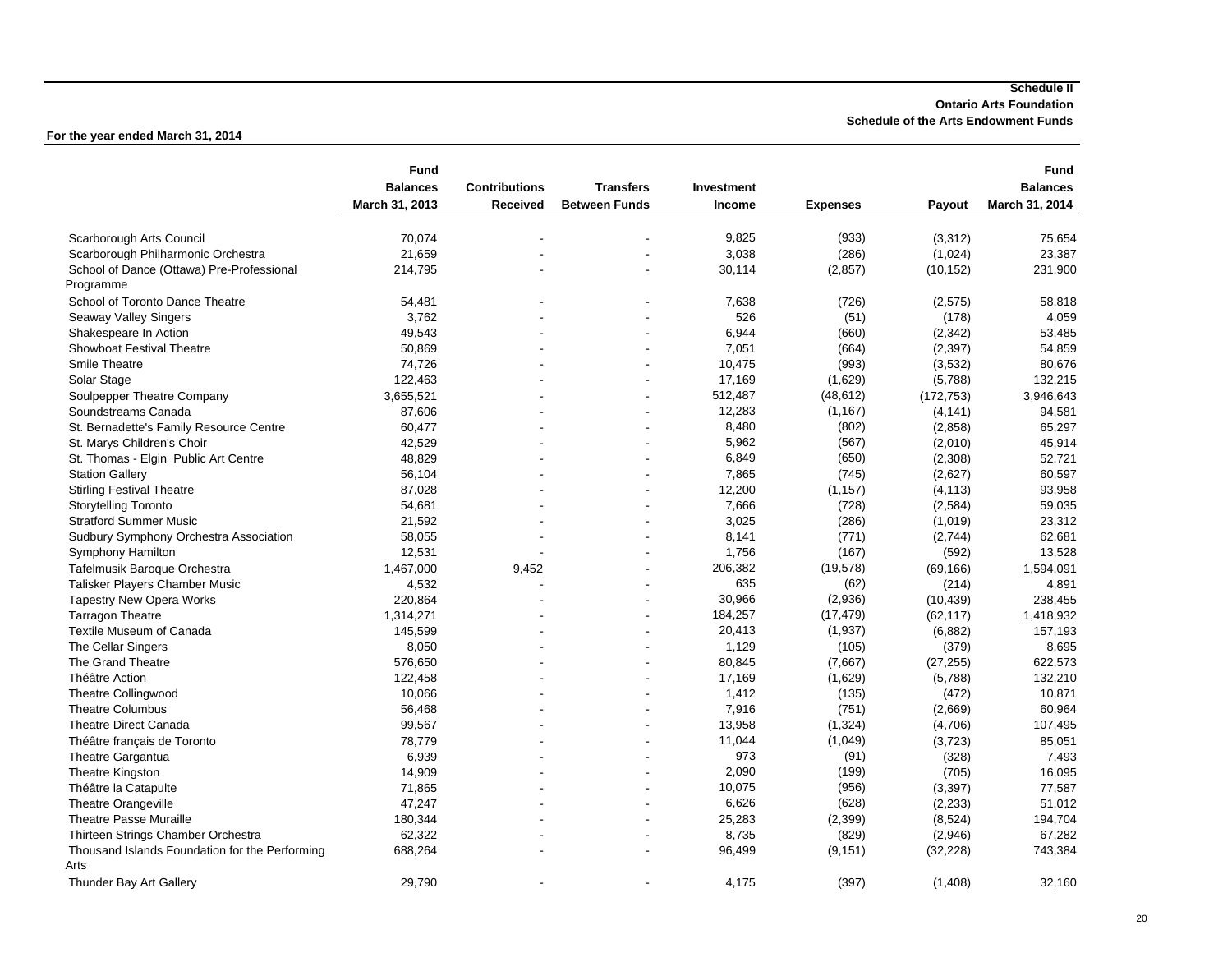**For the year ended March 31, 2014**

|                                                | <b>Fund</b>     |                      |                      |            |                 |            | <b>Fund</b>     |
|------------------------------------------------|-----------------|----------------------|----------------------|------------|-----------------|------------|-----------------|
|                                                | <b>Balances</b> | <b>Contributions</b> | <b>Transfers</b>     | Investment |                 |            | <b>Balances</b> |
|                                                | March 31, 2013  | Received             | <b>Between Funds</b> | Income     | <b>Expenses</b> | Payout     | March 31, 2014  |
|                                                |                 |                      |                      |            |                 |            |                 |
| Scarborough Arts Council                       | 70,074          |                      |                      | 9,825      | (933)           | (3,312)    | 75,654          |
| Scarborough Philharmonic Orchestra             | 21,659          |                      |                      | 3,038      | (286)           | (1,024)    | 23,387          |
| School of Dance (Ottawa) Pre-Professional      | 214,795         |                      |                      | 30,114     | (2, 857)        | (10, 152)  | 231,900         |
| Programme                                      |                 |                      |                      |            |                 |            |                 |
| School of Toronto Dance Theatre                | 54,481          |                      |                      | 7,638      | (726)           | (2,575)    | 58,818          |
| <b>Seaway Valley Singers</b>                   | 3,762           |                      |                      | 526        | (51)            | (178)      | 4,059           |
| Shakespeare In Action                          | 49,543          |                      |                      | 6,944      | (660)           | (2,342)    | 53,485          |
| <b>Showboat Festival Theatre</b>               | 50,869          |                      |                      | 7,051      | (664)           | (2, 397)   | 54,859          |
| Smile Theatre                                  | 74,726          |                      |                      | 10,475     | (993)           | (3,532)    | 80,676          |
| Solar Stage                                    | 122,463         |                      |                      | 17,169     | (1,629)         | (5,788)    | 132,215         |
| Soulpepper Theatre Company                     | 3,655,521       |                      |                      | 512,487    | (48, 612)       | (172, 753) | 3,946,643       |
| Soundstreams Canada                            | 87,606          |                      |                      | 12,283     | (1, 167)        | (4, 141)   | 94,581          |
| St. Bernadette's Family Resource Centre        | 60,477          | ÷                    |                      | 8,480      | (802)           | (2,858)    | 65,297          |
| St. Marys Children's Choir                     | 42,529          |                      |                      | 5,962      | (567)           | (2,010)    | 45,914          |
| St. Thomas - Elgin Public Art Centre           | 48,829          |                      |                      | 6,849      | (650)           | (2,308)    | 52,721          |
| <b>Station Gallery</b>                         | 56,104          |                      |                      | 7,865      | (745)           | (2,627)    | 60,597          |
| <b>Stirling Festival Theatre</b>               | 87,028          |                      |                      | 12,200     | (1, 157)        | (4, 113)   | 93,958          |
| <b>Storytelling Toronto</b>                    | 54,681          |                      |                      | 7,666      | (728)           | (2, 584)   | 59,035          |
| <b>Stratford Summer Music</b>                  | 21,592          |                      |                      | 3,025      | (286)           | (1,019)    | 23,312          |
| Sudbury Symphony Orchestra Association         | 58,055          |                      |                      | 8,141      | (771)           | (2,744)    | 62,681          |
| <b>Symphony Hamilton</b>                       | 12,531          |                      |                      | 1,756      | (167)           | (592)      | 13,528          |
| Tafelmusik Baroque Orchestra                   | 1,467,000       | 9,452                |                      | 206,382    | (19, 578)       | (69, 166)  | 1,594,091       |
| Talisker Players Chamber Music                 | 4,532           |                      |                      | 635        | (62)            | (214)      | 4,891           |
| <b>Tapestry New Opera Works</b>                | 220,864         |                      |                      | 30,966     | (2,936)         | (10, 439)  | 238,455         |
| <b>Tarragon Theatre</b>                        | 1,314,271       |                      |                      | 184,257    | (17, 479)       | (62, 117)  | 1,418,932       |
| <b>Textile Museum of Canada</b>                | 145,599         |                      |                      | 20,413     | (1,937)         | (6,882)    | 157,193         |
| The Cellar Singers                             | 8,050           |                      |                      | 1,129      | (105)           | (379)      | 8,695           |
| The Grand Theatre                              | 576,650         |                      |                      | 80,845     | (7,667)         | (27, 255)  | 622,573         |
| Théâtre Action                                 | 122,458         |                      |                      | 17,169     | (1,629)         | (5,788)    | 132,210         |
| <b>Theatre Collingwood</b>                     | 10,066          |                      |                      | 1,412      | (135)           | (472)      | 10,871          |
| <b>Theatre Columbus</b>                        | 56,468          |                      |                      | 7,916      | (751)           | (2,669)    | 60,964          |
| <b>Theatre Direct Canada</b>                   | 99,567          |                      |                      | 13,958     | (1, 324)        | (4,706)    | 107,495         |
| Théâtre français de Toronto                    | 78,779          |                      |                      | 11,044     | (1,049)         | (3, 723)   | 85,051          |
| Theatre Gargantua                              | 6,939           |                      |                      | 973        | (91)            | (328)      | 7,493           |
| Theatre Kingston                               | 14,909          |                      |                      | 2,090      | (199)           | (705)      | 16,095          |
| Théâtre la Catapulte                           | 71,865          |                      |                      | 10,075     | (956)           | (3, 397)   | 77,587          |
| <b>Theatre Orangeville</b>                     | 47,247          |                      |                      | 6,626      | (628)           | (2, 233)   | 51,012          |
| <b>Theatre Passe Muraille</b>                  | 180,344         |                      |                      | 25,283     | (2, 399)        | (8,524)    | 194,704         |
| Thirteen Strings Chamber Orchestra             | 62,322          |                      |                      | 8,735      | (829)           | (2,946)    | 67,282          |
| Thousand Islands Foundation for the Performing | 688,264         |                      |                      | 96,499     | (9, 151)        | (32, 228)  | 743,384         |
| Arts                                           |                 |                      |                      |            |                 |            |                 |
| Thunder Bay Art Gallery                        | 29,790          |                      |                      | 4,175      | (397)           | (1,408)    | 32,160          |
|                                                |                 |                      |                      |            |                 |            |                 |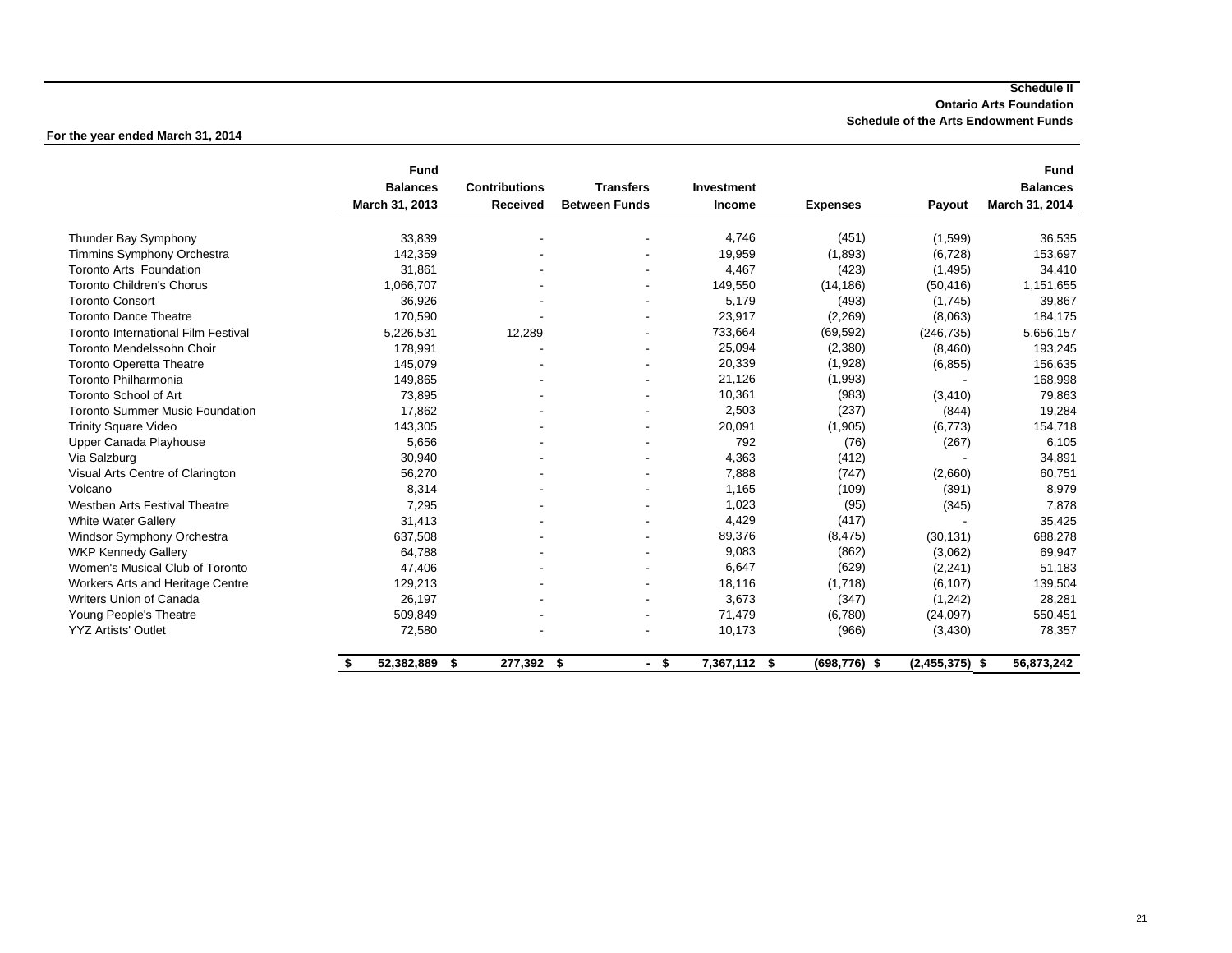**For the year ended March 31, 2014**

|                                            | <b>Fund</b>      |                      |                      |              |                 |                  | <b>Fund</b>     |
|--------------------------------------------|------------------|----------------------|----------------------|--------------|-----------------|------------------|-----------------|
|                                            | <b>Balances</b>  | <b>Contributions</b> | <b>Transfers</b>     | Investment   |                 |                  | <b>Balances</b> |
|                                            | March 31, 2013   | Received             | <b>Between Funds</b> | Income       | <b>Expenses</b> | Payout           | March 31, 2014  |
| Thunder Bay Symphony                       | 33,839           | $\blacksquare$       |                      | 4,746        | (451)           | (1,599)          | 36,535          |
| <b>Timmins Symphony Orchestra</b>          | 142,359          |                      |                      | 19,959       | (1,893)         | (6, 728)         | 153,697         |
| <b>Toronto Arts Foundation</b>             | 31,861           |                      |                      | 4,467        | (423)           | (1, 495)         | 34,410          |
| <b>Toronto Children's Chorus</b>           | 1,066,707        |                      |                      | 149,550      | (14, 186)       | (50, 416)        | 1,151,655       |
| <b>Toronto Consort</b>                     | 36,926           |                      |                      | 5,179        | (493)           | (1,745)          | 39,867          |
| <b>Toronto Dance Theatre</b>               | 170,590          |                      |                      | 23,917       | (2,269)         | (8,063)          | 184,175         |
| <b>Toronto International Film Festival</b> | 5,226,531        | 12,289               |                      | 733,664      | (69, 592)       | (246, 735)       | 5,656,157       |
| Toronto Mendelssohn Choir                  | 178,991          |                      |                      | 25,094       | (2,380)         | (8,460)          | 193,245         |
| <b>Toronto Operetta Theatre</b>            | 145,079          |                      |                      | 20,339       | (1,928)         | (6, 855)         | 156,635         |
| Toronto Philharmonia                       | 149,865          |                      |                      | 21,126       | (1,993)         |                  | 168,998         |
| <b>Toronto School of Art</b>               | 73,895           |                      |                      | 10,361       | (983)           | (3, 410)         | 79,863          |
| <b>Toronto Summer Music Foundation</b>     | 17,862           |                      |                      | 2,503        | (237)           | (844)            | 19,284          |
| <b>Trinity Square Video</b>                | 143,305          |                      |                      | 20,091       | (1,905)         | (6, 773)         | 154,718         |
| Upper Canada Playhouse                     | 5,656            |                      |                      | 792          | (76)            | (267)            | 6,105           |
| Via Salzburg                               | 30,940           |                      |                      | 4,363        | (412)           |                  | 34,891          |
| Visual Arts Centre of Clarington           | 56,270           |                      |                      | 7,888        | (747)           | (2,660)          | 60,751          |
| Volcano                                    | 8,314            |                      |                      | 1,165        | (109)           | (391)            | 8,979           |
| <b>Westben Arts Festival Theatre</b>       | 7,295            |                      |                      | 1,023        | (95)            | (345)            | 7,878           |
| <b>White Water Gallery</b>                 | 31,413           |                      |                      | 4,429        | (417)           |                  | 35,425          |
| Windsor Symphony Orchestra                 | 637,508          |                      |                      | 89,376       | (8, 475)        | (30, 131)        | 688,278         |
| <b>WKP Kennedy Gallery</b>                 | 64,788           |                      |                      | 9,083        | (862)           | (3,062)          | 69,947          |
| Women's Musical Club of Toronto            | 47,406           |                      |                      | 6,647        | (629)           | (2, 241)         | 51,183          |
| Workers Arts and Heritage Centre           | 129,213          |                      |                      | 18,116       | (1,718)         | (6, 107)         | 139,504         |
| Writers Union of Canada                    | 26,197           |                      |                      | 3,673        | (347)           | (1, 242)         | 28,281          |
| Young People's Theatre                     | 509,849          |                      |                      | 71,479       | (6,780)         | (24,097)         | 550,451         |
| <b>YYZ Artists' Outlet</b>                 | 72,580           |                      |                      | 10,173       | (966)           | (3,430)          | 78,357          |
|                                            | 52,382,889<br>\$ | \$<br>277,392 \$     | $-5$                 | 7,367,112 \$ | $(698, 776)$ \$ | $(2,455,375)$ \$ | 56,873,242      |